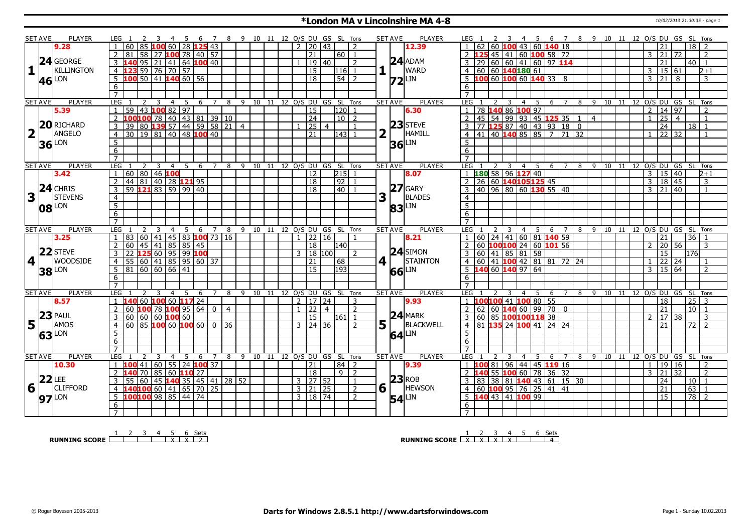### **\*London MA v Lincolnshire MA 4-8** 10/02/2013 21:30:35 - page 1

|                         | <b>SET AVE</b> | <b>PLAYER</b>     | LEG 1                                       |                                      | -5              | -6        | - 8<br>$\overline{7}$ |        | 9 10 11 12 O/S DU GS SL Tons |    |                      |                      |                                 |                |                     |                |   | <b>PLAYER</b><br><b>SET AVE</b>                     | LEG 1            |                                               |                         |                | 4 5                   |              |                     |                |       |    |                |                     |                 | 6 7 8 9 10 11 12 O/S DU GS SL Tons            |  |
|-------------------------|----------------|-------------------|---------------------------------------------|--------------------------------------|-----------------|-----------|-----------------------|--------|------------------------------|----|----------------------|----------------------|---------------------------------|----------------|---------------------|----------------|---|-----------------------------------------------------|------------------|-----------------------------------------------|-------------------------|----------------|-----------------------|--------------|---------------------|----------------|-------|----|----------------|---------------------|-----------------|-----------------------------------------------|--|
|                         |                | 9.28              |                                             | 60                                   |                 | 28 125 43 |                       |        |                              |    |                      | $\overline{2}$       | 20                              | 43             |                     | 2              |   | 12.39                                               |                  |                                               |                         |                | 60 $100$ 43 60 140 18 |              |                     |                |       |    |                | 21                  |                 | 18 <sup>1</sup>                               |  |
|                         |                |                   | 58<br>81                                    | 27 <b>100</b> 78 40 57               |                 |           |                       |        |                              |    |                      |                      | 21                              |                | 60   1              |                |   |                                                     |                  |                                               |                         |                | 45 41 60 100 58 72    |              |                     |                |       |    | $\mathbf{3}$   | 21                  | 72              | $\overline{2}$                                |  |
|                         |                | 24 GEORGE         | $\overline{95}$<br>3                        | $\overline{21}$<br>41                |                 | 64 100 40 |                       |        |                              |    |                      |                      | $\sqrt{19}$                     | l 40           |                     | $\overline{z}$ |   | $24$ ADAM                                           | $\overline{29}$  |                                               |                         |                | 60 60 41 60 97 114    |              |                     |                |       |    |                | 21                  |                 | 40 <sup>1</sup><br>$\overline{1}$             |  |
| $\mathbf{1}$            |                | <b>KILLINGTON</b> | $\overline{4}$                              | 59 76 70                             | $\overline{57}$ |           |                       |        |                              |    |                      |                      | $\overline{15}$                 |                | 116 1               |                |   | $\mathbf{1}$ $\overline{\mathbf{1}}$<br><b>WARD</b> |                  | 4   60   60   140   180   61                  |                         |                |                       |              |                     |                |       |    | $\overline{3}$ | 15 61               |                 | $2 + 1$                                       |  |
|                         |                | LON               | 5 <sup>1</sup><br>100                       | 50 41                                | $140$ 60   56   |           |                       |        |                              |    |                      |                      | $\overline{18}$                 |                | $\overline{54}$   2 |                |   |                                                     |                  | $5\,$ 100 60 100 60 140 33 8                  |                         |                |                       |              |                     |                |       |    | 3              | $\overline{21}$     | 8               | 3                                             |  |
|                         | 46             |                   |                                             |                                      |                 |           |                       |        |                              |    |                      |                      |                                 |                |                     |                |   | $ 72 $ LIN                                          |                  |                                               |                         |                |                       |              |                     |                |       |    |                |                     |                 |                                               |  |
|                         |                |                   | 6                                           |                                      |                 |           |                       |        |                              |    |                      |                      |                                 |                |                     |                |   |                                                     | 6                |                                               |                         |                |                       |              |                     |                |       |    |                |                     |                 |                                               |  |
|                         |                |                   | $\overline{7}$                              |                                      |                 |           |                       |        |                              |    |                      |                      |                                 |                |                     |                |   |                                                     | $\overline{7}$   |                                               |                         |                |                       |              |                     |                |       |    |                |                     |                 |                                               |  |
|                         | <b>SET AVE</b> | <b>PLAYER</b>     | <b>LEG</b><br>2                             | $\overline{3}$<br>$\overline{4}$     | 5               | 6 7       |                       | 8      | 9 10 11 12 O/S DU GS SL Tons |    |                      |                      |                                 |                |                     |                |   | <b>PLAYER</b><br><b>SET AVE</b>                     | LEG <sub>1</sub> | 2                                             | $\overline{\mathbf{3}}$ | $\overline{4}$ | $5^{\circ}$           | 6 7          |                     |                |       |    |                |                     |                 | 8 9 10 11 12 0/S DU GS SL Tons                |  |
|                         |                | 5.39              | 59<br>$\mathbf{1}$                          | 43 100 82 97                         |                 |           |                       |        |                              |    |                      |                      | $\overline{15}$                 |                | 120 1               |                |   | 6.30                                                |                  | 78 140 86 100 97                              |                         |                |                       |              |                     |                |       |    | $\overline{2}$ | 14 97               |                 | $\overline{2}$                                |  |
|                         |                |                   | 100 100 78 40 43 81 39 10<br>$\overline{2}$ |                                      |                 |           |                       |        |                              |    |                      |                      | $\sqrt{24}$                     |                | $10\overline{2}$    |                |   |                                                     | $\overline{2}$   | 45   54   99   93   45   125   35   1         |                         |                |                       |              |                     | $\overline{4}$ |       |    |                | 25                  | $\overline{4}$  | $\overline{1}$                                |  |
|                         |                | 20RICHARD         | 39<br>l 80                                  | $139$ 57 44 59 58 21 4               |                 |           |                       |        |                              |    |                      |                      | 25                              | $\overline{4}$ |                     |                |   | $23$ STEVE                                          |                  | 77 125 87 40 43 93 18 0                       |                         |                |                       |              |                     |                |       |    |                | 24                  |                 | 18 <sup>1</sup><br>$\overline{1}$             |  |
| $\overline{\mathbf{2}}$ |                | ANGELO            | 30<br>$\overline{4}$                        | $19 81 40 48$ 100 40                 |                 |           |                       |        |                              |    |                      |                      | 21                              |                | 1431                |                |   | HAMILL                                              | 4                | 41 40 140 85 85 7 71 32                       |                         |                |                       |              |                     |                |       |    |                | 22 32               |                 | $\overline{\mathbf{1}}$                       |  |
|                         |                | $36$ LON          | $5\overline{)}$                             |                                      |                 |           |                       |        |                              |    |                      |                      |                                 |                |                     |                |   | LIN<br>36                                           | $5\overline{5}$  |                                               |                         |                |                       |              |                     |                |       |    |                |                     |                 |                                               |  |
|                         |                |                   | 6                                           |                                      |                 |           |                       |        |                              |    |                      |                      |                                 |                |                     |                |   |                                                     | 6                |                                               |                         |                |                       |              |                     |                |       |    |                |                     |                 |                                               |  |
|                         |                |                   | $\overline{7}$                              |                                      |                 |           |                       |        |                              |    |                      |                      |                                 |                |                     |                |   |                                                     | $\overline{7}$   |                                               |                         |                |                       |              |                     |                |       |    |                |                     |                 |                                               |  |
|                         | <b>SET AVE</b> | <b>PLAYER</b>     | LEG                                         | 3<br>$\overline{4}$                  | .5              | 6         | $\overline{7}$        | 9<br>8 | 10                           | 11 | 12 O/S DU GS SL Tons |                      |                                 |                |                     |                |   | <b>SET AVE</b><br><b>PLAYER</b>                     | LEG <sub>1</sub> |                                               | 3                       | 4              | 5                     | 6            | 8<br>$\overline{7}$ | 9              | 10    | 11 |                |                     |                 | 12 O/S DU GS SL Tons                          |  |
|                         |                | 3.42              | 60   80   46   100<br>$\mathbf{1}$          |                                      |                 |           |                       |        |                              |    |                      |                      | 12                              |                | 215                 | $\overline{1}$ |   | 8.07                                                |                  | 180 58 96 127 40                              |                         |                |                       |              |                     |                |       |    | $\overline{3}$ | 15 40               |                 | $2 + 1$                                       |  |
|                         |                |                   | 44<br>$\overline{2}$                        | 81 40 28 121 95                      |                 |           |                       |        |                              |    |                      |                      | $\overline{18}$                 |                | $\boxed{92}$        | $\overline{1}$ |   |                                                     | 2                | 26 60 140105125 45                            |                         |                |                       |              |                     |                |       |    | $\overline{3}$ | $\overline{18}$     | 45              | $\overline{3}$                                |  |
|                         |                | $24$ CHRIS        | 59 121 83 59 99 40<br>$\overline{3}$        |                                      |                 |           |                       |        |                              |    |                      |                      | $\overline{18}$                 |                | $40$   1            |                |   | $27$ GARY                                           | 3                | $140$ 96 80 60 130 55 40                      |                         |                |                       |              |                     |                |       |    |                | $3 \mid 21 \mid 40$ |                 | $\overline{1}$                                |  |
| 3                       |                | <b>STEVENS</b>    | $\overline{4}$                              |                                      |                 |           |                       |        |                              |    |                      |                      |                                 |                |                     |                | 3 | <b>BLADES</b>                                       | $\overline{4}$   |                                               |                         |                |                       |              |                     |                |       |    |                |                     |                 |                                               |  |
|                         |                |                   | $\overline{5}$                              |                                      |                 |           |                       |        |                              |    |                      |                      |                                 |                |                     |                |   | LIN                                                 | $\overline{5}$   |                                               |                         |                |                       |              |                     |                |       |    |                |                     |                 |                                               |  |
|                         |                | <b>08</b> LON     | 6                                           |                                      |                 |           |                       |        |                              |    |                      |                      |                                 |                |                     |                |   | 83                                                  | 6                |                                               |                         |                |                       |              |                     |                |       |    |                |                     |                 |                                               |  |
|                         |                |                   | $\overline{7}$                              |                                      |                 |           |                       |        |                              |    |                      |                      |                                 |                |                     |                |   |                                                     |                  |                                               |                         |                |                       |              |                     |                |       |    |                |                     |                 |                                               |  |
|                         | <b>SET AVE</b> | <b>PLAYER</b>     | <b>LEG</b>                                  | 4                                    |                 | 6         |                       | 8      | 9 10 11                      |    |                      | 12 O/S DU GS SL Tons |                                 |                |                     |                |   | <b>SET AVE</b><br><b>PLAYER</b>                     | LEG              |                                               |                         | $\overline{4}$ | - 5                   | 6            | 7<br>8              | - 9            | 10 11 |    |                |                     | 12 O/S DU GS SL | Tons                                          |  |
|                         |                | 3.25              | 60<br>83                                    | $ 41\rangle$                         | 45 83 100 73 16 |           |                       |        |                              |    |                      |                      | 22 16                           |                |                     |                |   | 8.21                                                |                  | $60$   24   41                                |                         |                | 60 81 140 59          |              |                     |                |       |    |                | 21                  |                 | 36                                            |  |
|                         |                |                   | $\overline{2}$<br>60                        | 45 41 85 85 45                       |                 |           |                       |        |                              |    |                      |                      | 18                              |                | l140 l              |                |   |                                                     |                  | 60 100100 24 60 101 56                        |                         |                |                       |              |                     |                |       |    | $\mathcal{L}$  | 20                  | 56              | 3                                             |  |
|                         |                | $22$ STEVE        | 3<br>22                                     |                                      |                 |           |                       |        |                              |    |                      | २                    | $ 18\rangle$                    | 100            |                     | $\overline{2}$ |   | $24$ SIMON                                          | 60<br>3          | 41                                            | $\overline{85}$         | 81             | 58                    |              |                     |                |       |    |                | 15                  |                 | 176                                           |  |
|                         | $4$            | <b>WOODSIDE</b>   | $\overline{4}$<br>55                        |                                      |                 |           |                       |        |                              |    |                      |                      | 21                              |                | $\overline{68}$     |                |   | $4$   $\overline{\phantom{0}}$<br>STAINTON          |                  | 4 60 41 <b>100</b> 42 81 81 72 24             |                         |                |                       |              |                     |                |       |    |                | 22                  | 24              | $\overline{\mathbf{1}}$                       |  |
|                         |                |                   | 5 <sup>2</sup><br>81                        | 60 60                                | 66 41           |           |                       |        |                              |    |                      |                      | <sup>15</sup>                   |                | 193                 |                |   | LIN                                                 | $5\,140$         |                                               | 60 140 97               |                | 64                    |              |                     |                |       |    | 3              | 15                  | 64              | $\overline{2}$                                |  |
|                         |                | <b>38</b> LON     | 6                                           |                                      |                 |           |                       |        |                              |    |                      |                      |                                 |                |                     |                |   | 66                                                  | 6                |                                               |                         |                |                       |              |                     |                |       |    |                |                     |                 |                                               |  |
|                         |                |                   | $\overline{7}$                              |                                      |                 |           |                       |        |                              |    |                      |                      |                                 |                |                     |                |   |                                                     | $\overline{7}$   |                                               |                         |                |                       |              |                     |                |       |    |                |                     |                 |                                               |  |
|                         |                | <b>PLAYER</b>     |                                             | 3                                    |                 |           | $\overline{7}$        |        |                              |    |                      |                      |                                 |                |                     |                |   | <b>PLAYER</b>                                       | <b>LEG</b>       |                                               |                         |                |                       |              | $\overline{z}$      |                |       |    |                |                     |                 |                                               |  |
|                         | <b>SET AVE</b> | 8.57              | LEG<br>$\mathbf{1}$<br>L40                  | $\overline{4}$<br>60 100 60 117 24   | 5               | - 6       | 8                     |        | 9 10 11 12 O/S DU GS SL Tons |    |                      |                      | $2 \overline{17} \overline{24}$ |                |                     | 3              |   | <b>SET AVE</b><br>9.93                              |                  | 1 100100 41 100 80 55                         |                         | 4              | 5                     | - 6          |                     |                |       |    |                | 18                  |                 | 8 9 10 11 12 O/S DU GS SL Tons<br>$25 \mid 3$ |  |
|                         |                |                   | 60                                          | $100$ 78 $100$ 95 64 0               |                 |           |                       |        |                              |    |                      | $1 \overline{22}$    |                                 | $\overline{4}$ |                     | $\overline{z}$ |   |                                                     |                  | 2   62   60   140   60   99   70   0          |                         |                |                       |              |                     |                |       |    |                | 21                  |                 | $10$   1                                      |  |
|                         |                | $23$ PAUL         | $\overline{2}$                              |                                      |                 |           | $\overline{4}$        |        |                              |    |                      |                      |                                 |                |                     |                |   | $24$ MARK                                           |                  |                                               |                         |                |                       |              |                     |                |       |    |                |                     |                 |                                               |  |
|                         |                | AMOS              | 3<br>$60   60   60$ 100 60                  |                                      |                 |           |                       |        |                              |    |                      |                      | 15                              |                | $161$   1           |                |   |                                                     | $\overline{3}$   | 60 85 100100118 38                            |                         |                |                       |              |                     |                |       |    | 2              | 17                  | 38              | 3                                             |  |
| 5                       | l L            |                   | $\overline{4}$<br>60                        | $ 85 $ 100 60 100 60 0 36            |                 |           |                       |        |                              |    |                      |                      | $3 \mid 24 \mid 36$             |                |                     | 2              | 5 | BLACKWELL                                           | $\overline{4}$   | 81 135 24 100 41                              |                         |                |                       | 24 24        |                     |                |       |    |                | 21                  |                 | 72 l<br>$\overline{z}$                        |  |
|                         | 63             | <b>LON</b>        | $\overline{5}$                              |                                      |                 |           |                       |        |                              |    |                      |                      |                                 |                |                     |                |   | $64$ LIN                                            | $5\overline{5}$  |                                               |                         |                |                       |              |                     |                |       |    |                |                     |                 |                                               |  |
|                         |                |                   | $\overline{6}$                              |                                      |                 |           |                       |        |                              |    |                      |                      |                                 |                |                     |                |   |                                                     | 6                |                                               |                         |                |                       |              |                     |                |       |    |                |                     |                 |                                               |  |
|                         |                |                   | $\overline{7}$                              |                                      |                 |           |                       |        |                              |    |                      |                      |                                 |                |                     |                |   |                                                     | $\overline{7}$   |                                               |                         |                |                       |              |                     |                |       |    |                |                     |                 |                                               |  |
|                         |                |                   |                                             |                                      | .5              | -6        | 7                     | 8      | 9 10 11 12 O/S DU GS SL Tons |    |                      |                      |                                 |                |                     |                |   | <b>PLAYER</b><br><b>SET AVE</b>                     | LEG <sub>1</sub> |                                               | 3                       | 4              | -5                    | -6           | 8<br>7              | $\mathsf{q}$   | 10    | 11 |                |                     |                 | 12 O/S DU GS SL Tons                          |  |
|                         | <b>SET AVE</b> | <b>PLAYER</b>     | LEG                                         | $\overline{4}$                       |                 |           |                       |        |                              |    |                      |                      |                                 |                | 84   2              |                |   | 9.39                                                | $\overline{1}$   | 81                                            | 96                      |                |                       |              |                     |                |       |    |                |                     |                 |                                               |  |
|                         |                | 10.30             | $\mathbf{1}$<br>41                          | $\overline{60}$<br>55                |                 | 24 100 37 |                       |        |                              |    |                      |                      | 21                              |                |                     |                |   |                                                     |                  |                                               |                         |                |                       | 44 45 119 16 |                     |                |       |    | $\overline{1}$ | 19                  | 16              | $\overline{2}$                                |  |
|                         |                |                   | $\overline{70}$<br>$\overline{2}$           | 856011027                            |                 |           |                       |        |                              |    |                      |                      | $\overline{18}$                 |                | $9$   2             |                |   |                                                     | 2                |                                               |                         |                | 55 100 60 78 36 32    |              |                     |                |       |    | 3              | $\overline{21}$     | $\overline{32}$ | $\overline{2}$                                |  |
|                         |                | $22$ LEE          | 60<br>3<br>55                               | $\vert$ 45 <b>140</b> 35 45 41 28 52 |                 |           |                       |        |                              |    |                      |                      | 3   27   52                     |                |                     | $\overline{1}$ |   | $23$ <sub>ROB</sub>                                 |                  | $3   83   38   81   140   43   61   15   30$  |                         |                |                       |              |                     |                |       |    |                | 24                  |                 | $10\vert\overline{1}$                         |  |
| 6                       |                | <b>CLIFFORD</b>   | $\overline{4}$                              | $100$ 60 41 65 70 25                 |                 |           |                       |        |                              |    |                      |                      | 3   21   25                     |                |                     | $\overline{2}$ |   | <b>HEWSON</b><br>H.                                 |                  | $4 60 $ <b>100</b> 95 76 25 41 41             |                         |                |                       |              |                     |                |       |    |                | $\overline{21}$     |                 | 63<br>$\overline{1}$                          |  |
|                         |                |                   | 100100 98 85 44 74<br>5                     |                                      |                 |           |                       |        |                              |    |                      |                      | 3   18   74                     |                |                     | $\overline{2}$ | 6 |                                                     |                  | $5\vert 140\vert 43\vert 41\vert 100\vert 99$ |                         |                |                       |              |                     |                |       |    |                | $\overline{15}$     |                 | $\overline{78}$   2                           |  |
|                         |                | <b>97</b> LON     | 6                                           |                                      |                 |           |                       |        |                              |    |                      |                      |                                 |                |                     |                |   | LIN<br>54                                           | 6                |                                               |                         |                |                       |              |                     |                |       |    |                |                     |                 |                                               |  |

**RUNNING SCORE**<sup>1</sup>
<sup>2</sup>
<sup>3</sup>
<sup>4</sup>
<sup>5</sup>
<sup>6</sup>
<sup>2</sup>
<sup>2</sup>

**RUNNING SCORE**  $\begin{array}{|c|c|c|c|c|}\n\hline\n & 2 & 3 & 4 & 5 & 6 & \text{Sets} \\
\hline\n\end{array}$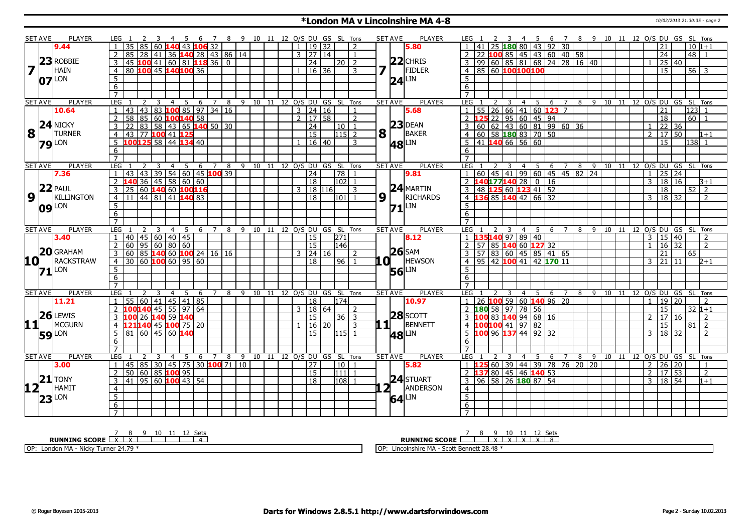#### **\*London MA v Lincolnshire MA 4-8** 10/02/2013 21:30:35 - page 2

|                                                 | SET AVE        | PLAYER              | LEG <sub>1</sub>                                                |                                             |                |                      |     |                | 7 8 9 10 11 12 O/S DU GS SL Tons   |                              |   |                     |              |                | <b>SET AVE</b>        |                | <b>PLAYER</b>       | LEG <sub>1</sub> |  |   | $-4$                            |                                     | 5 6 7 8 9 10 11 12 O/S DU GS SL Tons                          |  |  |                                |                |                 |             |                          |
|-------------------------------------------------|----------------|---------------------|-----------------------------------------------------------------|---------------------------------------------|----------------|----------------------|-----|----------------|------------------------------------|------------------------------|---|---------------------|--------------|----------------|-----------------------|----------------|---------------------|------------------|--|---|---------------------------------|-------------------------------------|---------------------------------------------------------------|--|--|--------------------------------|----------------|-----------------|-------------|--------------------------|
|                                                 |                | 9.44                | 35 85 60 140 43 106 32                                          |                                             |                |                      |     |                |                                    |                              |   | $1 \mid 19 \mid 32$ |              | $\overline{2}$ |                       |                | 5.80                |                  |  |   |                                 |                                     | 1  41  25 <b>180</b> 80  43  92  30                           |  |  |                                |                | 21              | $10 1+1$    |                          |
|                                                 |                |                     | 2<br>85                                                         | 28<br> 41                                   |                | 36 140 28 43 86 14   |     |                |                                    |                              |   | $3 \mid 27 \mid 14$ |              | $\overline{1}$ |                       |                |                     |                  |  |   |                                 |                                     | 2 2 2 100 85 45 43 60 40 58                                   |  |  |                                |                | $\overline{24}$ | $48$   1    |                          |
|                                                 |                | $23$ ROBBIE         | $145$ <b>100</b> 41 60 81 <b>118</b> 36 0<br>3                  |                                             |                |                      |     |                |                                    |                              |   | 24                  | 20   2       |                |                       |                | $22$ CHRIS          |                  |  |   |                                 |                                     | $3   99   60   85   81   68   24   28   16   40$              |  |  |                                | $\overline{1}$ | 25 40           |             |                          |
| 7                                               |                | HAIN                | 80 100 45 140 100 36<br>$\overline{4}$                          |                                             |                |                      |     |                |                                    |                              |   | 16 36               |              | 3              |                       |                | <b>FIDLER</b>       |                  |  |   |                                 | 4 85 60 100 100 100                 |                                                               |  |  |                                |                | $\overline{15}$ | $56 \mid 3$ |                          |
|                                                 |                | $07$ $\text{LON}$   | $\overline{5}$                                                  |                                             |                |                      |     |                |                                    |                              |   |                     |              |                |                       | 24             | <b>LIN</b>          | 5                |  |   |                                 |                                     |                                                               |  |  |                                |                |                 |             |                          |
|                                                 |                |                     | 6                                                               |                                             |                |                      |     |                |                                    |                              |   |                     |              |                |                       |                |                     | 6                |  |   |                                 |                                     |                                                               |  |  |                                |                |                 |             |                          |
|                                                 |                |                     | $\overline{7}$                                                  |                                             |                |                      |     |                |                                    |                              |   |                     |              |                |                       |                |                     |                  |  |   |                                 |                                     |                                                               |  |  |                                |                |                 |             |                          |
|                                                 | <b>SET AVE</b> | <b>PLAYER</b>       | LEG                                                             |                                             | $\overline{4}$ | 5                    | 6 7 |                | 8                                  | 9 10 11 12 O/S DU GS SL Tons |   |                     |              |                | <b>SET AVE</b>        |                | <b>PLAYER</b>       | LEG              |  |   | $\overline{4}$                  | - 5                                 | -6                                                            |  |  | 8 9 10 11 12 0/S DU GS SL Tons |                |                 |             |                          |
|                                                 |                | 10.64               | 43                                                              | 43   83   100 85   97   34   16             |                |                      |     |                |                                    |                              |   | $3 \mid 24 \mid 16$ |              | $\mathbf{1}$   |                       |                | 5.68                |                  |  |   |                                 |                                     | $55$   26   66   41   60 <b>123</b> 7                         |  |  |                                |                | 21              | 123 1       |                          |
|                                                 |                |                     | $2^{\circ}$<br>58                                               | 85   60 <b>100140</b> 58                    |                |                      |     |                |                                    |                              |   | $2 \mid 17 \mid 58$ |              | $\mathcal{L}$  |                       |                |                     |                  |  |   |                                 | 2 125 22 95 60 45 94                |                                                               |  |  |                                |                | 18              | $60$   1    |                          |
|                                                 |                | $24$ NICKY          | $\mathbf{3}$<br>22                                              | 83   58   43   65 <b>140</b> 50   30        |                |                      |     |                |                                    |                              |   | 24                  | 10   1       |                |                       |                | $23$ DEAN           |                  |  |   |                                 |                                     | 3 60 62 43 60 81 99 60 36                                     |  |  |                                | $\mathbf{1}$   | $22 \mid 36$    |             |                          |
| $\overline{\mathbf{8}}$ $\overline{\mathbf{1}}$ |                | <b>TURNER</b>       | 43 77 100 41 125<br>$\overline{4}$                              |                                             |                |                      |     |                |                                    |                              |   | $\overline{15}$     | $115$ 2      |                | $8\vert$ <sup>T</sup> |                | BAKER               |                  |  |   |                                 | 4 60 58 180 83 70 50                |                                                               |  |  |                                | $\overline{2}$ | 17 50           |             | $1 + 1$                  |
|                                                 |                | <b>79</b> LON       | 100125 58 44 134 40<br>5                                        |                                             |                |                      |     |                |                                    |                              |   | 16 40               |              | 3              |                       |                | <b>48</b> LIN       |                  |  |   | $5 \overline{)41}$ 140 66 56 60 |                                     |                                                               |  |  |                                |                | $\overline{15}$ | 138 1       |                          |
|                                                 |                |                     | 6                                                               |                                             |                |                      |     |                |                                    |                              |   |                     |              |                |                       |                |                     | 6                |  |   |                                 |                                     |                                                               |  |  |                                |                |                 |             |                          |
|                                                 |                |                     | $\overline{7}$                                                  |                                             |                |                      |     |                |                                    |                              |   |                     |              |                |                       |                |                     | $\overline{7}$   |  |   |                                 |                                     |                                                               |  |  |                                |                |                 |             |                          |
|                                                 | <b>SET AVE</b> | <b>PLAYER</b>       | LEG                                                             | 2<br>-3                                     | 4              | -5                   | - 6 | $\overline{7}$ | 8                                  | 9 10 11 12 O/S DU GS SL Tons |   |                     |              |                | <b>SET AVE</b>        |                | <b>PLAYER</b>       | LEG              |  | 3 | $\overline{4}$                  | 5                                   | 6 7 8 9 10 11 12 0/S DU GS SL Tons                            |  |  |                                |                |                 |             |                          |
|                                                 |                | 7.36                | 43                                                              | 43   39   54   60   45 <b>100</b> 39        |                |                      |     |                |                                    |                              |   | $\overline{24}$     | $\boxed{78}$ | $\overline{1}$ |                       |                | 9.81                |                  |  |   |                                 |                                     | 1 60 45 41 99 60 45 45 82 24                                  |  |  |                                | $\overline{1}$ | 25 24           |             |                          |
|                                                 |                |                     | $140$ 36 45 58 60 60<br>$\mathcal{L}$                           |                                             |                |                      |     |                |                                    |                              |   | $ 18\rangle$        | $ 102 $ 1    |                |                       |                |                     |                  |  |   |                                 | $2$ 140177140 28 0 16               |                                                               |  |  |                                |                | 3   18   16     |             | $B+1$                    |
|                                                 |                | $22$ PAUL           | 3<br>25                                                         | 60 140 60 100 16                            |                |                      |     |                |                                    |                              | 3 | 18 116              |              | $\mathbf{R}$   |                       |                | $24$ MARTIN         |                  |  |   |                                 | 3 48 125 60 123 41 52               |                                                               |  |  |                                |                | 18              | 52          | $\sqrt{2}$               |
| $\overline{9}$                                  | $\mathbf{L}$   | KILLINGTON          | $11 \mid 44 \mid 81 \mid 41 \mid 140 \mid 83$<br>$\overline{4}$ |                                             |                |                      |     |                |                                    |                              |   | 18                  | 1101   1     |                | $9\sqrt{1}$           |                | RICHARDS            |                  |  |   |                                 | 4 136 85 140 42 66 32               |                                                               |  |  |                                | 3              | 18 32           |             | $\overline{2}$           |
|                                                 |                | 09 LON              | $\overline{5}$                                                  |                                             |                |                      |     |                |                                    |                              |   |                     |              |                |                       |                | $71$ <sup>LIN</sup> | 5                |  |   |                                 |                                     |                                                               |  |  |                                |                |                 |             |                          |
|                                                 |                |                     | 6                                                               |                                             |                |                      |     |                |                                    |                              |   |                     |              |                |                       |                |                     | 6                |  |   |                                 |                                     |                                                               |  |  |                                |                |                 |             |                          |
|                                                 |                |                     | $\overline{7}$                                                  |                                             |                |                      |     |                |                                    |                              |   |                     |              |                |                       |                |                     |                  |  |   |                                 |                                     |                                                               |  |  |                                |                |                 |             |                          |
|                                                 | <b>SET AVE</b> | <b>PLAYER</b>       | LEG                                                             | 3                                           | $\overline{4}$ | 5                    |     |                | 6 7 8 9 10 11 12 O/S DU GS SL Tons |                              |   |                     |              |                |                       | <b>SET AVE</b> | <b>PLAYER</b>       | <b>LEG</b>       |  |   |                                 | 4 5                                 | 6 7                                                           |  |  | 8 9 10 11 12 0/S DU GS SL Tons |                |                 |             |                          |
|                                                 |                | 3.40                |                                                                 | 40 45 60 40 45                              |                |                      |     |                |                                    |                              |   | 15                  | 271          |                |                       |                | 8.12                |                  |  |   | 135140 97 89 40                 |                                     |                                                               |  |  |                                | $\mathbf{3}$   | 15 40           |             |                          |
|                                                 |                |                     | $\overline{2}$<br>60                                            | 95   60   80   60                           |                |                      |     |                |                                    |                              |   | 15                  | 146          |                |                       |                |                     |                  |  |   |                                 | 2 57 85 140 60 127 32               |                                                               |  |  |                                | $\mathbf{1}$   | 16 32           |             | $\overline{2}$           |
|                                                 |                | 20 GRAHAM           | $\mathbf{3}$<br>60                                              | 85 140 60 100 24 16 16                      |                |                      |     |                |                                    |                              |   | $3 \mid 24 \mid 16$ |              | $\mathcal{D}$  |                       |                | $26$ SAM            |                  |  |   |                                 |                                     | 3   57   83   60   45   85   41   65                          |  |  |                                |                | 21              | 65          |                          |
| 10 L                                            |                | RACKSTRAW           | $30   60$ 100 60 95 60<br>$\overline{4}$                        |                                             |                |                      |     |                |                                    |                              |   | 18                  | 96           |                |                       |                | <b>HEWSON</b>       |                  |  |   |                                 |                                     | 4 95 42 100 41 42 170 11                                      |  |  |                                | $\mathcal{R}$  | 121 111         |             | D+1                      |
|                                                 |                | $71$ <sup>LON</sup> | 5 <sup>2</sup>                                                  |                                             |                |                      |     |                |                                    |                              |   |                     |              |                |                       | 56             | LIN                 | 5 <sup>5</sup>   |  |   |                                 |                                     |                                                               |  |  |                                |                |                 |             |                          |
|                                                 |                |                     | 6                                                               |                                             |                |                      |     |                |                                    |                              |   |                     |              |                |                       |                |                     | $6\overline{6}$  |  |   |                                 |                                     |                                                               |  |  |                                |                |                 |             |                          |
|                                                 |                |                     | $\overline{7}$                                                  |                                             |                |                      |     |                |                                    |                              |   |                     |              |                |                       |                |                     | $\overline{7}$   |  |   |                                 |                                     |                                                               |  |  |                                |                |                 |             |                          |
|                                                 | <b>SET AVE</b> | <b>PLAYER</b>       | I FG                                                            |                                             | $\overline{4}$ | .5.                  | 6   | 7              | 8                                  | 9 10 11 12 0/S DU GS SL Tons |   |                     |              |                |                       | <b>SET AVE</b> | <b>PLAYER</b>       | <b>LEG</b>       |  |   |                                 | $4 \overline{5}$                    | 6 7 8 9 10 11 12 0/S DU GS SL Tons                            |  |  |                                |                |                 |             |                          |
|                                                 |                | 11.21               | 55 60 41<br>$\mathbf{1}$                                        |                                             |                | $45 \mid 41 \mid 85$ |     |                |                                    |                              |   | 18                  | 174          |                |                       |                | 10.97               |                  |  |   |                                 |                                     | $1 \mid 26 \mid 100 \mid 59 \mid 60 \mid 140 \mid 96 \mid 20$ |  |  |                                | $\overline{1}$ | 19 20           |             | 2                        |
|                                                 |                |                     | $\overline{2}$                                                  | 100140 45 55 97 64                          |                |                      |     |                |                                    |                              |   | $3 \mid 18 \mid 64$ |              | 2              |                       |                |                     |                  |  |   | 2 180 58 97 78 56               |                                     |                                                               |  |  |                                |                | $\overline{15}$ | $32 1+1$    |                          |
|                                                 |                | $26$ LEWIS          | 100 26 140 59 140<br>3                                          |                                             |                |                      |     |                |                                    |                              |   | 15                  | 36   3       |                |                       |                | $28$ SCOTT          |                  |  |   |                                 | 3 100 83 140 94 68 16               |                                                               |  |  |                                | $\overline{2}$ | 17 16           |             | $\mathcal{P}$            |
| 11+                                             |                | <b>MCGURN</b>       | $\overline{4}$                                                  | 121140 45 100 75 20                         |                |                      |     |                |                                    |                              |   | 16   20             |              | 3              |                       | . 1 I          | <b>BENNETT</b>      |                  |  |   | 4 100100 41 97 82               |                                     |                                                               |  |  |                                |                | 15              | 81          | $\overline{z}$           |
|                                                 |                | <b>59</b> LON       | 81   60   45   60   <mark>140</mark><br>5 <sup>1</sup>          |                                             |                |                      |     |                |                                    |                              |   | $\overline{15}$     | l115l 1      |                |                       | 48             | LIN                 |                  |  |   |                                 | $5$ 100 96 137 44 92 32             |                                                               |  |  |                                | $\mathbf{3}$   | 18 32           |             | $\overline{\phantom{0}}$ |
|                                                 |                |                     | 6                                                               |                                             |                |                      |     |                |                                    |                              |   |                     |              |                |                       |                |                     | 6                |  |   |                                 |                                     |                                                               |  |  |                                |                |                 |             |                          |
|                                                 |                |                     | $\overline{7}$                                                  |                                             |                |                      |     |                |                                    |                              |   |                     |              |                |                       |                |                     | $\overline{7}$   |  |   |                                 |                                     |                                                               |  |  |                                |                |                 |             |                          |
|                                                 | <b>SET AVE</b> | <b>PLAYER</b>       | LEG <sub>1</sub>                                                |                                             | $\overline{4}$ | -5                   | 6 7 |                | 8                                  | 9 10 11 12 O/S DU GS SL Tons |   |                     |              |                |                       | <b>SET AVE</b> | <b>PLAYER</b>       | LEG              |  |   |                                 | 4 5                                 | 6 7                                                           |  |  | 8 9 10 11 12 O/S DU GS SL Tons |                |                 |             |                          |
|                                                 |                | 3.00                |                                                                 | 45   85   30   45   75   30   100   71   10 |                |                      |     |                |                                    |                              |   | 27                  | l 10 l       |                |                       |                | 5.82                |                  |  |   |                                 |                                     | 25 60 39 44 39 78 76 20 20                                    |  |  |                                | $\overline{2}$ | $26 \mid 20$    |             | $\mathbf{1}$             |
|                                                 |                |                     | $\overline{2}$<br>50 60 85 100 95                               |                                             |                |                      |     |                |                                    |                              |   | $\overline{15}$     | 111          |                |                       |                |                     |                  |  |   |                                 | 2 <b>137</b> 80 45 46 <b>140</b> 53 |                                                               |  |  |                                | $\overline{2}$ | 17 53           |             | $\overline{2}$           |
|                                                 |                | $21$ TONY           | $41$ 95 60 100 43 54<br>3                                       |                                             |                |                      |     |                |                                    |                              |   | <sup>18</sup>       | 108          |                |                       |                | 24 STUART           |                  |  |   |                                 | 3   96   58   26   180   87   54    |                                                               |  |  |                                | 3              | 18 54           |             | $1 + 1$                  |
| $12 -$                                          |                | HAMIT               | $\overline{4}$                                                  |                                             |                |                      |     |                |                                    |                              |   |                     |              |                |                       | 2 <sub>1</sub> | ANDERSON            | $\overline{4}$   |  |   |                                 |                                     |                                                               |  |  |                                |                |                 |             |                          |
|                                                 |                | $23$ LON            | $\overline{5}$                                                  |                                             |                |                      |     |                |                                    |                              |   |                     |              |                |                       | 64             | <b>LIN</b>          | $\overline{5}$   |  |   |                                 |                                     |                                                               |  |  |                                |                |                 |             |                          |
|                                                 |                |                     | 6                                                               |                                             |                |                      |     |                |                                    |                              |   |                     |              |                |                       |                |                     | 6                |  |   |                                 |                                     |                                                               |  |  |                                |                |                 |             |                          |
|                                                 |                |                     | $\overline{7}$                                                  |                                             |                |                      |     |                |                                    |                              |   |                     |              |                |                       |                |                     | $\overline{7}$   |  |   |                                 |                                     |                                                               |  |  |                                |                |                 |             |                          |
|                                                 |                |                     |                                                                 |                                             |                |                      |     |                |                                    |                              |   |                     |              |                |                       |                |                     |                  |  |   |                                 |                                     |                                                               |  |  |                                |                |                 |             |                          |

**RUNNING SCORE**  $\begin{array}{|c|c|c|c|c|}\n\hline\n\text{7} & 8 & 9 & 10 & 11 & 12 & \text{Sets} \\
\hline\n\text{RUNNING SCORE} & & & & & & & & 4\n\end{array}$  OP: London MA - Nicky Turner 24.79 \* **RUNNING SCORE** 7 8 9 X 10 X 11 X 12 X Sets 8 OP: Lincolnshire MA - Scott Bennett 28.48 \*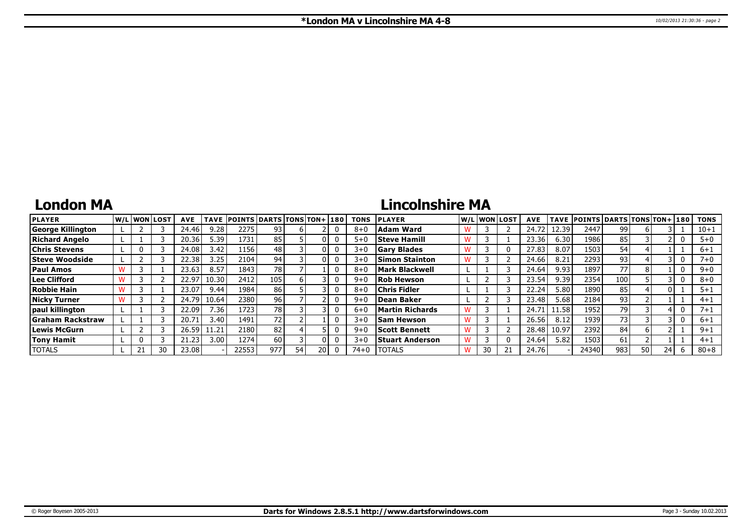### **London MA**

# **Lincolnshire MA**

| <b>PLAYER</b>            |  | <b>IW/LIWONILOST</b> | <b>AVE</b> | <b>TAVE</b> | <b>POINTS DARTS TONS TON+1180</b> |                 |    |  | <b>TONS</b> | <b>PLAYER</b>          |    | W/L WON LOST | <b>AVE</b> |       | TAVE POINTS DARTS TONS TON+ 180 |     |    |    | <b>TONS</b> |
|--------------------------|--|----------------------|------------|-------------|-----------------------------------|-----------------|----|--|-------------|------------------------|----|--------------|------------|-------|---------------------------------|-----|----|----|-------------|
| <b>George Killington</b> |  |                      | 24.46      | 9.28        | 2275                              | 93              |    |  | $8 + 0$     | Adam Ward              |    |              | 24.7       | 12.39 | 2447                            | 99  |    |    | $10 + 1$    |
| Richard Angelo           |  |                      | 20.36      | 5.39        | 1731                              | 85              |    |  | $5 + 0$     | <b>Steve Hamill</b>    |    |              | 23.36      | 6.30  | 1986                            | 85  |    |    | $5 + 0$     |
| <b>Chris Stevens</b>     |  |                      | 24.08      | 3.42        | 1156                              | 48              |    |  | $3 + 0$     | <b>Gary Blades</b>     |    |              | 27.83      | 8.07  | 1503                            | 54  |    |    | $6 + 1$     |
| <b>Steve Woodside</b>    |  |                      | 22.38      | 3.25        | 2104                              | 94              |    |  | $3 + C$     | <b>Simon Stainton</b>  |    |              | 24.66      | 8.21  | 2293                            | 93  |    |    | 7+0         |
| <b>Paul Amos</b>         |  |                      | 23.63      | 8.57        | 1843                              | 78              |    |  | $8 + C$     | <b>Mark Blackwell</b>  |    |              | 24.64      | 9.93  | 1897                            | 77  | 8  |    | $9 + 0$     |
| Lee Clifford             |  |                      | 22.97      | 10.30       | 2412                              | 105             |    |  | $9 + C$     | <b>Rob Hewson</b>      |    |              | 23.54      | 9.39  | 2354                            | 100 |    |    | $8 + 0$     |
| <b>Robbie Hain</b>       |  |                      | 23.07      | 9.44        | 1984                              | 86              |    |  | $8 + C$     | <b>Chris Fidler</b>    |    |              | 22.24      | 5.80  | 1890                            | 85  |    |    | $5 + 1$     |
| <b>Nicky Turner</b>      |  |                      | 24.79      | 10.64       | 2380 l                            | 96              |    |  | $9 + 6$     | Dean Baker             |    |              | 23.48      | 5.68  | 2184                            | 93  |    |    | $4 + 1$     |
| paul killington          |  |                      | 22.09      | 7.36        | 1723                              | 78              |    |  | $6 + C$     | Martin Richards        |    |              | 24.7       | 11.58 | 1952                            | 79  |    |    | 7+1         |
| <b>Graham Rackstraw</b>  |  |                      | 20.71      | 3.40        | 1491                              | 72 <sub>1</sub> |    |  | $3+0$       | <b>Sam Hewson</b>      |    |              | 26.56      | 8.12  | 1939                            | 73  |    |    | $6 + 1$     |
| Lewis McGurn             |  |                      | 26.59      | .1.21       | 2180                              | 82              |    |  | $9 + 6$     | <b>Scott Bennett</b>   |    |              | 28.48      | 10.97 | 2392                            | 84  |    |    | $9 + 1$     |
| Tony Hamit               |  |                      | 21.23      | 3.00        | 1274                              | 60              |    |  | $3+0$       | <b>Stuart Anderson</b> |    |              | 24.64      | 5.82  | 1503                            | 61  |    |    | $4 + 1$     |
| <b>TOTALS</b>            |  | 30                   | 23.08      |             | 22553                             | 977             | 54 |  | 74+0        | <b>TOTALS</b>          | 30 |              | 24.76      |       | 24340                           | 983 | 50 | 24 | $80 + 8$    |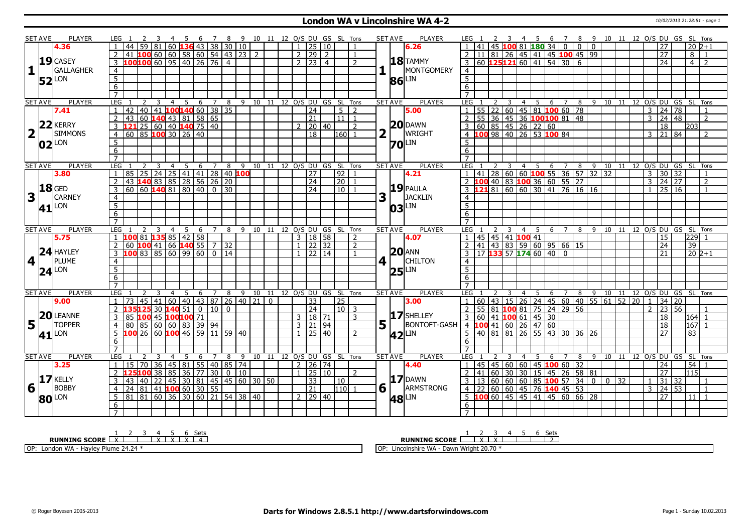### **London WA v Lincolnshire WA 4-2** 10/02/2013 21:28:51 - page 1

|                         | SET AVE        | <b>PLAYER</b>       | LEG 1                            |                                                 |                                 |                                                |     |    |   |                  |                |                |  |                | 3  4  5  6  7  8  9  10  11  12  O/S  DU  GS  SL  Tons |                     |                                |                |   | <b>SET AVE</b> | PLAYER              | LEG 1                                                                                                        |                                           |    |                |                |     |                                                 |                |                    |      |                                                                             |    |                 |                         |                |                          | 3  4  5  6  7  8  9  10  11  12  O/S  DU  GS  SL  Tons |                |
|-------------------------|----------------|---------------------|----------------------------------|-------------------------------------------------|---------------------------------|------------------------------------------------|-----|----|---|------------------|----------------|----------------|--|----------------|--------------------------------------------------------|---------------------|--------------------------------|----------------|---|----------------|---------------------|--------------------------------------------------------------------------------------------------------------|-------------------------------------------|----|----------------|----------------|-----|-------------------------------------------------|----------------|--------------------|------|-----------------------------------------------------------------------------|----|-----------------|-------------------------|----------------|--------------------------|--------------------------------------------------------|----------------|
|                         |                | 4.36                |                                  |                                                 | 59                              | 81   60   <mark>136</mark>   43   38   30   10 |     |    |   |                  |                |                |  |                | $1 \ 25 \ 10$                                          |                     |                                |                |   |                | 6.26                |                                                                                                              |                                           |    |                |                |     | 45 100 81 180 34                                | $\Omega$       |                    |      |                                                                             |    |                 |                         |                | 27                       | $20\overline{2+1}$                                     |                |
|                         |                |                     |                                  | 10060606058605443232                            |                                 |                                                |     |    |   |                  |                |                |  | $\overline{2}$ | $\sqrt{29}$ 2                                          |                     |                                |                |   |                |                     |                                                                                                              |                                           |    |                |                |     | 81   26   45   41   45 <mark>100</mark> 45   99 |                |                    |      |                                                                             |    |                 |                         |                | 27                       | 8                                                      |                |
|                         |                | $19$ CASEY          | 3                                | 100100 60 95 40 26 76                           |                                 |                                                |     |    |   |                  | $\overline{4}$ |                |  |                | $2$   23   4                                           |                     |                                | $\mathcal{L}$  |   |                | $18$ TAMMY          | $\overline{3}$                                                                                               | 60 125121 60 41 54 30 6                   |    |                |                |     |                                                 |                |                    |      |                                                                             |    |                 |                         |                | 24                       | $\overline{4}$                                         | $\overline{2}$ |
| $\mathbf{1}$            |                | GALLAGHER           | $\overline{4}$                   |                                                 |                                 |                                                |     |    |   |                  |                |                |  |                |                                                        |                     |                                |                |   |                | MONTGOMERY          | $\overline{4}$                                                                                               |                                           |    |                |                |     |                                                 |                |                    |      |                                                                             |    |                 |                         |                |                          |                                                        |                |
|                         |                |                     |                                  |                                                 |                                 |                                                |     |    |   |                  |                |                |  |                |                                                        |                     |                                |                |   |                |                     | $\overline{5}$                                                                                               |                                           |    |                |                |     |                                                 |                |                    |      |                                                                             |    |                 |                         |                |                          |                                                        |                |
|                         |                | $52$ <sup>LON</sup> | $\overline{5}$                   |                                                 |                                 |                                                |     |    |   |                  |                |                |  |                |                                                        |                     |                                |                |   |                | $86$ LIN            |                                                                                                              |                                           |    |                |                |     |                                                 |                |                    |      |                                                                             |    |                 |                         |                |                          |                                                        |                |
|                         |                |                     | 6                                |                                                 |                                 |                                                |     |    |   |                  |                |                |  |                |                                                        |                     |                                |                |   |                |                     | 6                                                                                                            |                                           |    |                |                |     |                                                 |                |                    |      |                                                                             |    |                 |                         |                |                          |                                                        |                |
|                         |                |                     | $\overline{7}$                   |                                                 |                                 |                                                |     |    |   |                  |                |                |  |                |                                                        |                     |                                |                |   |                |                     | $\overline{7}$                                                                                               |                                           |    |                |                |     |                                                 |                |                    |      |                                                                             |    |                 |                         |                |                          |                                                        |                |
|                         | <b>SET AVE</b> | <b>PLAYER</b>       | <b>LEG</b>                       |                                                 | $\overline{2}$<br>3             | $\overline{4}$                                 |     | 5  |   | $\overline{6}$ 7 | 8 <sup>8</sup> |                |  |                |                                                        |                     | 9 10 11 12 O/S DU GS SL Tons   |                |   | <b>SET AVE</b> | <b>PLAYER</b>       | <b>LEG</b>                                                                                                   |                                           |    | 3              | $\overline{4}$ |     | $5\quad 6\quad 7$                               |                |                    |      | 8 9 10 11 12 0/S DU GS SL Tons                                              |    |                 |                         |                |                          |                                                        |                |
|                         |                | 7.41                | 1                                | 42                                              | 40 41 100 140 60 38 35          |                                                |     |    |   |                  |                |                |  |                | $\overline{24}$                                        |                     | 5                              | $\overline{2}$ |   |                | 5.00                | 1   55   22   60   45   81   <mark>100</mark> 60   78<br>  2   55   36   45   36   <b>100  100</b>   81   48 |                                           |    |                |                |     |                                                 |                |                    |      |                                                                             |    |                 |                         |                | $3 \mid 24 \mid 78$      |                                                        |                |
|                         |                |                     | $\overline{2}$                   | 43                                              | 60 140 43 81 58 65              |                                                |     |    |   |                  |                |                |  |                | $\overline{21}$                                        |                     | $\boxed{11}$ $\boxed{1}$       |                |   |                |                     |                                                                                                              |                                           |    |                |                |     |                                                 |                |                    |      |                                                                             |    |                 |                         |                | 3   24   48              |                                                        | $\overline{2}$ |
|                         |                | $22$ <b>KERRY</b>   | 3                                | $121$ 25 60 40 140 75 40                        |                                 |                                                |     |    |   |                  |                |                |  |                | 20 40                                                  |                     |                                | 2              |   |                | $20$ DAWN           |                                                                                                              |                                           |    |                |                |     |                                                 |                |                    |      |                                                                             |    |                 |                         |                | $\overline{18}$          | 203                                                    |                |
| $\overline{\mathbf{2}}$ | $\mathbf{T}$   | <b>SIMMONS</b>      |                                  | $60$ 85 <b>100</b> 30 26 40                     |                                 |                                                |     |    |   |                  |                |                |  |                | $\overline{18}$                                        |                     | 160 1                          |                |   | $\mathbf{L}$   | WRIGHT              |                                                                                                              |                                           |    |                |                |     |                                                 |                |                    |      |                                                                             |    |                 |                         |                | 3   21   84              |                                                        | $\overline{2}$ |
|                         |                | $02$ <sup>LON</sup> | 5                                |                                                 |                                 |                                                |     |    |   |                  |                |                |  |                |                                                        |                     |                                |                |   |                | $70$ <sup>LIN</sup> | $5\overline{)}$                                                                                              |                                           |    |                |                |     |                                                 |                |                    |      |                                                                             |    |                 |                         |                |                          |                                                        |                |
|                         |                |                     | $6\overline{6}$                  |                                                 |                                 |                                                |     |    |   |                  |                |                |  |                |                                                        |                     |                                |                |   |                |                     | 6                                                                                                            |                                           |    |                |                |     |                                                 |                |                    |      |                                                                             |    |                 |                         |                |                          |                                                        |                |
|                         |                |                     | $\overline{7}$                   |                                                 |                                 |                                                |     |    |   |                  |                |                |  |                |                                                        |                     |                                |                |   |                |                     | $\overline{7}$                                                                                               |                                           |    |                |                |     |                                                 |                |                    |      |                                                                             |    |                 |                         |                |                          |                                                        |                |
|                         | <b>SET AVE</b> | <b>PLAYER</b>       | LEG                              |                                                 |                                 | $\overline{4}$                                 |     | 5  | 6 | $\overline{7}$   | 8              |                |  |                |                                                        |                     | 9 10 11 12 O/S DU GS SL Tons   |                |   | <b>SET AVE</b> | <b>PLAYER</b>       | LEG                                                                                                          |                                           |    | 3              | $\overline{4}$ |     | $5\overline{6}$                                 | $\overline{7}$ | 8                  | 9    | 10                                                                          |    |                 | 11 12 0/S DU GS SL Tons |                |                          |                                                        |                |
|                         |                | 3.80                |                                  | 85                                              | 25                              | 24 25 41 41 28 40 100                          |     |    |   |                  |                |                |  |                | 27                                                     |                     | 92                             |                |   |                | 4.21                | $\mathbf{1}$                                                                                                 | 41                                        |    |                |                |     |                                                 |                |                    |      | 28 60 60 <b>100</b> 55 36 57 32 32<br><b>2</b> 40 83 <b>100</b> 36 60 55 27 |    |                 |                         |                | $3 \vert 30 \vert 32$    |                                                        |                |
|                         |                |                     | 2                                | 43 140 83 85 28 56 26 20                        |                                 |                                                |     |    |   |                  |                |                |  |                | $\sqrt{24}$                                            |                     | $\boxed{20}$                   | $\overline{1}$ |   |                |                     | 2 100                                                                                                        |                                           |    |                |                |     |                                                 |                |                    |      |                                                                             |    |                 |                         |                | $3 \mid 24 \mid 27$      |                                                        | $\overline{2}$ |
|                         |                | <b>18</b> GED       | 3                                | $60$ 60 <b>140</b> 81 80 40 0 30                |                                 |                                                |     |    |   |                  |                |                |  |                | $\sqrt{24}$                                            |                     | 10   1                         |                |   |                | $19$ PAULA          | $3 \quad 121 \quad 81 \quad 60 \quad 60 \quad 30 \quad 41 \quad 76 \quad 16 \quad 16$                        |                                           |    |                |                |     |                                                 |                |                    |      |                                                                             |    |                 |                         | 1 <sup>1</sup> | 25 16                    |                                                        | $\mathbf{1}$   |
| 3                       |                | <b>CARNEY</b>       |                                  |                                                 |                                 |                                                |     |    |   |                  |                |                |  |                |                                                        |                     |                                |                | 3 |                | JACKLIN             |                                                                                                              |                                           |    |                |                |     |                                                 |                |                    |      |                                                                             |    |                 |                         |                |                          |                                                        |                |
|                         |                |                     | $\overline{4}$<br>$\overline{5}$ |                                                 |                                 |                                                |     |    |   |                  |                |                |  |                |                                                        |                     |                                |                |   |                |                     | $\overline{4}$<br>$\overline{5}$                                                                             |                                           |    |                |                |     |                                                 |                |                    |      |                                                                             |    |                 |                         |                |                          |                                                        |                |
|                         |                | $41$ <sup>LON</sup> |                                  |                                                 |                                 |                                                |     |    |   |                  |                |                |  |                |                                                        |                     |                                |                |   |                | $ 03 $ LIN          |                                                                                                              |                                           |    |                |                |     |                                                 |                |                    |      |                                                                             |    |                 |                         |                |                          |                                                        |                |
|                         |                |                     | 6                                |                                                 |                                 |                                                |     |    |   |                  |                |                |  |                |                                                        |                     |                                |                |   |                |                     | 6                                                                                                            |                                           |    |                |                |     |                                                 |                |                    |      |                                                                             |    |                 |                         |                |                          |                                                        |                |
|                         |                |                     | $\overline{7}$                   |                                                 |                                 |                                                |     |    |   |                  |                |                |  |                |                                                        |                     |                                |                |   |                | <b>PLAYER</b>       |                                                                                                              |                                           |    |                |                |     |                                                 | 6 7            |                    |      | 8 9 10 11 12 0/S DU GS SL Tons                                              |    |                 |                         |                |                          |                                                        |                |
|                         |                |                     |                                  |                                                 |                                 |                                                |     |    |   |                  |                |                |  |                |                                                        |                     |                                |                |   | <b>SET AVE</b> |                     | LEG                                                                                                          |                                           |    | $\overline{3}$ |                | 4 5 |                                                 |                |                    |      |                                                                             |    |                 |                         |                |                          |                                                        |                |
|                         | <b>SET AVE</b> | PLAYER              | LEG                              |                                                 |                                 |                                                | 4 5 |    |   | 6 7              |                |                |  |                |                                                        |                     | 8 9 10 11 12 0/S DU GS SL Tons |                |   |                |                     |                                                                                                              |                                           |    |                |                |     |                                                 |                |                    |      |                                                                             |    |                 |                         |                |                          |                                                        |                |
|                         |                | 5.75                |                                  | $10081$ $13585$ $142$ 58                        |                                 |                                                |     |    |   |                  |                |                |  |                | 3   18   58                                            |                     |                                | $\mathcal{L}$  |   |                | 4.07                |                                                                                                              | 45   45   41   100 41                     |    |                |                |     |                                                 |                |                    |      |                                                                             |    |                 |                         |                | 15                       | 229                                                    |                |
|                         |                |                     | $\overline{2}$                   | 60 $\frac{100}{41}$ 66 $\frac{140}{55}$ 7 32    |                                 |                                                |     |    |   |                  |                |                |  |                | 22 32                                                  |                     |                                | $\mathcal{P}$  |   |                |                     | $\overline{2}$                                                                                               | 41   43   83   59   60   95   66   15     |    |                |                |     |                                                 |                |                    |      |                                                                             |    |                 |                         |                | 24                       | 39                                                     |                |
|                         |                | $24$ HAYLEY         | 3                                | $100$ 83 85 60 99 60 0 14                       |                                 |                                                |     |    |   |                  |                |                |  |                | $\sqrt{22}$ 14                                         |                     |                                |                |   |                | $20$ ANN            | $\overline{3}$                                                                                               | 17 133 57 174 60 40                       |    |                |                |     |                                                 | $\overline{0}$ |                    |      |                                                                             |    |                 |                         |                | 21                       | $1202+1$                                               |                |
|                         | 4 <sup>1</sup> | PLUME               | $\overline{4}$                   |                                                 |                                 |                                                |     |    |   |                  |                |                |  |                |                                                        |                     |                                |                |   | $4$            | <b>CHILTON</b>      | $\overline{4}$                                                                                               |                                           |    |                |                |     |                                                 |                |                    |      |                                                                             |    |                 |                         |                |                          |                                                        |                |
|                         |                |                     | $\overline{5}$                   |                                                 |                                 |                                                |     |    |   |                  |                |                |  |                |                                                        |                     |                                |                |   |                |                     | $\overline{5}$                                                                                               |                                           |    |                |                |     |                                                 |                |                    |      |                                                                             |    |                 |                         |                |                          |                                                        |                |
|                         |                | $24$ <sup>LON</sup> | 6                                |                                                 |                                 |                                                |     |    |   |                  |                |                |  |                |                                                        |                     |                                |                |   |                | $25$ <sup>LIN</sup> | $6\overline{6}$                                                                                              |                                           |    |                |                |     |                                                 |                |                    |      |                                                                             |    |                 |                         |                |                          |                                                        |                |
|                         |                |                     | $\overline{7}$                   |                                                 |                                 |                                                |     |    |   |                  |                |                |  |                |                                                        |                     |                                |                |   |                |                     | $\overline{7}$                                                                                               |                                           |    |                |                |     |                                                 |                |                    |      |                                                                             |    |                 |                         |                |                          |                                                        |                |
|                         | <b>SET AVE</b> | PLAYER              | LEG                              |                                                 |                                 | $\overline{4}$                                 |     | -5 | 6 | $\overline{7}$   | 8              |                |  |                |                                                        |                     | 9 10 11 12 O/S DU GS SL Tons   |                |   | <b>SET AVE</b> | PLAYER              | LEG                                                                                                          |                                           |    |                | $\overline{4}$ | - 5 | 6                                               | $\overline{7}$ | 8                  | $-9$ | 10 11 12 O/S DU GS SL Tons                                                  |    |                 |                         |                |                          |                                                        |                |
|                         |                | 9.00                |                                  | 73                                              | 45                              | 41 60 40 43 87 26 40 21 0                      |     |    |   |                  |                |                |  |                | $\overline{33}$                                        |                     | $\overline{25}$                |                |   |                | 3.00                | $\overline{1}$                                                                                               | 60                                        |    |                |                |     |                                                 |                |                    |      |                                                                             | 52 | $\overline{20}$ |                         | 1 <sup>1</sup> | $34 \mid 20$             |                                                        |                |
|                         |                |                     |                                  |                                                 |                                 | 30 $140$ 51   0   10                           |     |    |   |                  | $\Omega$       |                |  |                | $\overline{24}$                                        |                     | $10$ 3                         |                |   |                |                     | 2                                                                                                            | 55                                        | 81 |                |                |     | 100 81 75 24                                    |                | $29 \overline{56}$ |      | 43   15   26   24   45   60   40   55   61                                  |    |                 |                         |                | $2 \mid 23 \mid 56$      |                                                        |                |
|                         |                | 20 LEANNE           | 3                                | 85                                              |                                 |                                                |     |    |   |                  |                |                |  |                |                                                        |                     |                                | 3              |   |                | 17 SHELLEY          |                                                                                                              |                                           |    |                |                |     |                                                 |                |                    |      |                                                                             |    |                 |                         |                | 18                       | $\begin{vmatrix} 164 & 1 \end{vmatrix}$                |                |
|                         | $\mathbf{L}$   | <b>TOPPER</b>       |                                  | 80                                              | 100 45 100 100 71               |                                                |     |    |   |                  |                |                |  | $\overline{3}$ | 3   18   71                                            |                     |                                |                |   |                |                     | $3 60 41$ 100 61 45 30                                                                                       |                                           |    |                |                |     |                                                 |                |                    |      |                                                                             |    |                 |                         |                |                          |                                                        |                |
| 5                       |                |                     |                                  |                                                 | 85 60 60 83 39 94               |                                                |     |    |   |                  |                |                |  |                | 21 94                                                  |                     |                                |                |   | $5^{\text{m}}$ | <b>BONTOFT-GASH</b> | $4$ <b>100</b> 41 60 26 47 60                                                                                |                                           |    |                |                |     |                                                 |                |                    |      |                                                                             |    |                 |                         |                | 18                       | 167                                                    |                |
|                         |                | 41 <sup>LON</sup>   | 5                                |                                                 | 26 60 <b>100</b> 46 59 11 59 40 |                                                |     |    |   |                  |                |                |  |                | $1$ 25 40                                              |                     |                                | $\mathcal{P}$  |   |                | 42LIN               |                                                                                                              | $\overline{5}$ 40 81 81 26 55 43 30 36 26 |    |                |                |     |                                                 |                |                    |      |                                                                             |    |                 |                         |                | $\overline{27}$          | $\overline{83}$                                        |                |
|                         |                |                     | 6                                |                                                 |                                 |                                                |     |    |   |                  |                |                |  |                |                                                        |                     |                                |                |   |                |                     | 6                                                                                                            |                                           |    |                |                |     |                                                 |                |                    |      |                                                                             |    |                 |                         |                |                          |                                                        |                |
|                         |                |                     | $\overline{7}$                   |                                                 |                                 |                                                |     |    |   |                  |                |                |  |                |                                                        |                     |                                |                |   |                |                     | $\overline{7}$                                                                                               |                                           |    |                |                |     |                                                 |                |                    |      |                                                                             |    |                 |                         |                |                          |                                                        |                |
|                         | <b>SET AVE</b> | PLAYER              | LEG                              |                                                 |                                 |                                                |     | -5 | 6 | $\overline{7}$   | 8              |                |  |                |                                                        |                     | 9 10 11 12 0/S DU GS SL Tons   |                |   | <b>SET AVE</b> | <b>PLAYER</b>       | LEG <sub>1</sub>                                                                                             |                                           |    |                | 4              | -5  | 6                                               | 7              |                    | 8 9  | 10 11 12 0/S DU GS SL Tons                                                  |    |                 |                         |                |                          |                                                        |                |
|                         |                | 3.25                | $\mathbf{1}$                     | 15                                              | 70                              | 36 45 81 55 40 85 74                           |     |    |   |                  |                |                |  |                | 2   26   74                                            |                     |                                |                |   |                | 4.40                | -1                                                                                                           | 45                                        |    |                |                |     | 45   60   60   45 <b>100</b> 60   32            |                |                    |      |                                                                             |    |                 |                         |                | 24                       | 54                                                     |                |
|                         |                |                     |                                  | 2 125100 38 85 36 77 30                         |                                 |                                                |     |    |   |                  |                | $\boxed{0}$ 10 |  |                | $1$ 25 10                                              |                     |                                | $\mathcal{P}$  |   |                |                     | $\overline{2}$                                                                                               | 41                                        |    |                |                |     | 60 30 30 15 45 26 58 81                         |                |                    |      |                                                                             |    |                 |                         |                | $\overline{27}$          | $\sqrt{115}$                                           |                |
|                         |                | $17$ KELLY          | 3                                | 43 40 22 45 30 81 45 45 60 30 50                |                                 |                                                |     |    |   |                  |                |                |  |                | $ 33\rangle$                                           |                     | $ 10\rangle$                   |                |   |                | $17$ DAWN           |                                                                                                              |                                           |    |                |                |     |                                                 |                |                    |      | $3   13   60   60   60   85   100   57   34   0   0   32$                   |    |                 |                         |                | $1 \mid 31 \mid 32 \mid$ |                                                        |                |
| 6                       |                | <b>BOBBY</b>        | $\overline{4}$                   | $\overline{24}$                                 | $81 \mid 41$ 100 60 30 55       |                                                |     |    |   |                  |                |                |  |                | $\overline{21}$                                        |                     | $110$ 1                        |                |   | 6 1            | ARMSTRONG           | $\overline{4}$                                                                                               | $\overline{22}$                           |    |                |                |     | 60 60 45 76 140 45 53                           |                |                    |      |                                                                             |    |                 |                         |                | 3   24   53              |                                                        | $\overline{1}$ |
|                         |                |                     | 5                                | 81   81   60   36   30   60   21   54   38   40 |                                 |                                                |     |    |   |                  |                |                |  |                |                                                        | $2 \mid 29 \mid 40$ |                                |                |   |                |                     |                                                                                                              | 5 100 60 45 45 41 45 60 66 28             |    |                |                |     |                                                 |                |                    |      |                                                                             |    |                 |                         |                | $\overline{27}$          | $111$ $1$                                              |                |
|                         |                | <b>80</b> LON       | 6                                |                                                 |                                 |                                                |     |    |   |                  |                |                |  |                |                                                        |                     |                                |                |   |                | <b>48</b> LIN       | 6                                                                                                            |                                           |    |                |                |     |                                                 |                |                    |      |                                                                             |    |                 |                         |                |                          |                                                        |                |

| sets                                                                                                               | ುಲು                                                                                        |
|--------------------------------------------------------------------------------------------------------------------|--------------------------------------------------------------------------------------------|
| <b>SCORE</b><br><b>RUNNING</b>                                                                                     | <b>RUNNING SCORE</b>                                                                       |
| 24.24<br>OP:<br>۱۸/Δ<br>London<br>، د سا<br><b>Dlum</b><br>$^{\prime}$<br>$^{\prime}$<br><b>H</b> dy<br><b>VVH</b> | $\sim$ $\sim$ $\sim$<br>Wriah<br>uncolnshire W^<br>$\cap$<br>Dawr<br>. 20.70<br>ᆡ Ⅲ ㄷ<br>. |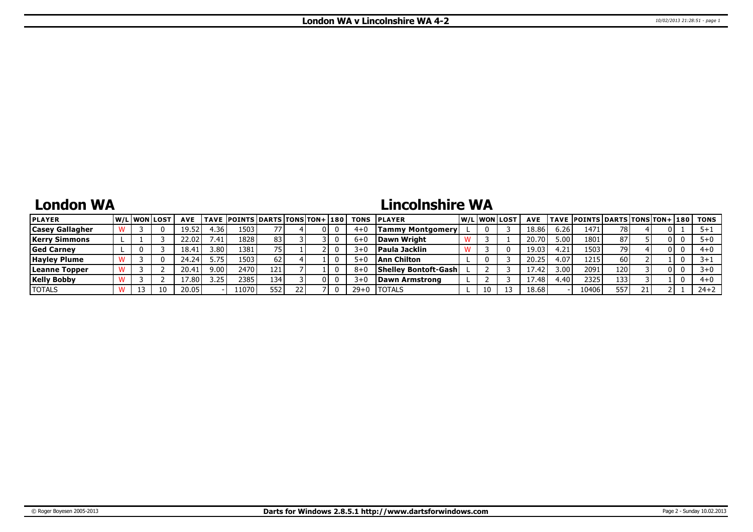### **London WA**

# **Lincolnshire WA**

| <b>PLAYER</b>          |  | W/Liwonilost | <b>AVE</b> |       | TAVE  POINTS DARTS TONS TON+ 180 |     |  |   |          | <b>TONS IPLAYER</b>          | W/Liwonilost | <b>AVE</b> |        | <b>TAVE POINTS DARTS TONS TON+ 180 TONS</b> |       |    |          |          |
|------------------------|--|--------------|------------|-------|----------------------------------|-----|--|---|----------|------------------------------|--------------|------------|--------|---------------------------------------------|-------|----|----------|----------|
| <b>Casey Gallagher</b> |  |              | 19.52      | 4.36. | 1503'                            |     |  | 0 | $4 + 0$  | <b>Tammy Montgomery</b>      |              | 18.86      | 6.261  | 147:                                        | 78 I  |    |          | 5+       |
| Kerrv Simmons          |  |              | 22.02      | 41. ا | 1828                             | 83  |  |   | $6 + 0$  | Dawn Wright                  |              | 20.70      | 5.00   | 1801                                        | 87    |    | $\Omega$ | $5+0$    |
| <b>Ged Carney</b>      |  |              | 18.4.      | 3.801 | 1381                             |     |  |   | $3+0$    | <b>Paula Jacklin</b>         |              | 19.03      | .21    | 1503                                        |       |    |          | $4 + 0$  |
| <b>Hayley Plume</b>    |  |              | 24.24      | . 75' | 1503                             |     |  |   | $5+0$    | Ann Chilton                  |              |            | 4.07   | 1215                                        | 60 I  |    |          | $+5$     |
| Leanne Topper          |  |              | 20.4       | 9.001 | 2470 l                           | 121 |  |   | 8+0      | <b>Shelley Bontoft-Gashl</b> |              | 17.42      | ا 00.د | 2091                                        | 120 I |    |          | $3+0$    |
| <b>Kelly Bobby</b>     |  |              | 7.80.      | 3.25  | 2385                             | 134 |  | 0 | $3+0$    | Dawn Armstrong               |              | 17.48      | ⊹40.   | 2325                                        | 1331  |    |          | $4 + 0$  |
| <b>TOTALS</b>          |  | 10           | 20.05      |       | 11070                            | 552 |  | 0 | $29 + 0$ | <b>'TOTALS</b>               | 10           | 18.68      |        | 10406                                       | 557   | 21 |          | $24 + 2$ |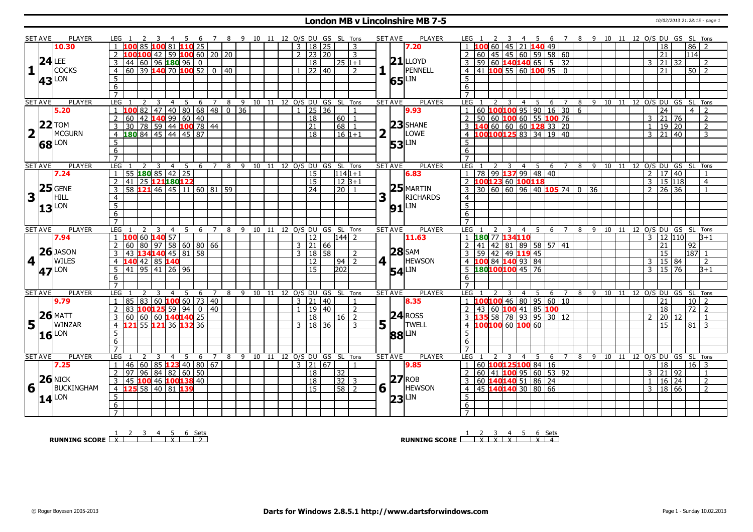### **London MB v Lincolnshire MB 7-5** 10/02/2013 21:28:15 - page 1

|                         | <b>SET AVE</b> | PLAYER              | LEG 1               |                          |                |                                 |                |                |                |                |             |     |  |                |                     |              |                 | 10 11 12 O/S DU GS SL Tons         |   | <b>SET AVE</b>       | PLAYER                                                                                                                                                           |                     |                                           |                         |   |                |     | - 6       | $\overline{7}$                                               |                                                  |              | 8 9 10 11 12 O/S DU GS SL Tons       |  |                |                 |               |    |                            |                |
|-------------------------|----------------|---------------------|---------------------|--------------------------|----------------|---------------------------------|----------------|----------------|----------------|----------------|-------------|-----|--|----------------|---------------------|--------------|-----------------|------------------------------------|---|----------------------|------------------------------------------------------------------------------------------------------------------------------------------------------------------|---------------------|-------------------------------------------|-------------------------|---|----------------|-----|-----------|--------------------------------------------------------------|--------------------------------------------------|--------------|--------------------------------------|--|----------------|-----------------|---------------|----|----------------------------|----------------|
|                         |                | 10.30               |                     |                          |                |                                 | 81             |                | $110$ 25       |                |             |     |  | $\overline{3}$ |                     | $18$   25    |                 | 3                                  |   |                      | 7.20                                                                                                                                                             |                     | $1 \vert 100 \vert 60 \vert 45 \vert$     |                         |   |                |     | 21 140 49 |                                                              |                                                  |              |                                      |  |                | 18              |               |    | 86                         |                |
|                         |                |                     |                     |                          | 100            | 42 59 100 60 20 20              |                |                |                |                |             |     |  |                | $2 \mid 23 \mid 20$ |              |                 | 3                                  |   |                      |                                                                                                                                                                  |                     |                                           |                         |   |                |     |           | 2   60   45   45   60   59   58   60                         |                                                  |              |                                      |  |                | 21              |               |    | 1114                       |                |
|                         |                | $24$ LEE            | 3                   | 44<br>60                 |                | 96 180 96                       |                |                | $\overline{0}$ |                |             |     |  |                | $\overline{18}$     |              |                 | 25 1+1                             |   |                      | $21$ LLOYD                                                                                                                                                       |                     |                                           |                         |   |                |     |           | 3   59   60   140   140   65   5   32                        |                                                  |              |                                      |  | 3              | $\overline{21}$ | 32            |    |                            | $\mathcal{L}$  |
| $\mathbf{1}$            |                | <b>COCKS</b>        | $\overline{4}$      | 60 39 140 70 100 52      |                |                                 |                |                |                |                | $0 \mid 40$ |     |  |                | $1$   22   40       |              |                 | $\overline{2}$                     |   | $\mathbf{L}$         | PENNELL                                                                                                                                                          |                     |                                           |                         |   |                |     |           | $4 \mid 41 \mid 100 \mid 55 \mid 60 \mid 100 \mid 95 \mid 0$ |                                                  |              |                                      |  |                | 21              |               |    | $50$   2                   |                |
|                         |                | LON                 | 5                   |                          |                |                                 |                |                |                |                |             |     |  |                |                     |              |                 |                                    |   |                      | LIN                                                                                                                                                              | $\overline{5}$      |                                           |                         |   |                |     |           |                                                              |                                                  |              |                                      |  |                |                 |               |    |                            |                |
|                         | 43             |                     | 6                   |                          |                |                                 |                |                |                |                |             |     |  |                |                     |              |                 |                                    |   | 65                   |                                                                                                                                                                  | 6                   |                                           |                         |   |                |     |           |                                                              |                                                  |              |                                      |  |                |                 |               |    |                            |                |
|                         |                |                     | $\overline{7}$      |                          |                |                                 |                |                |                |                |             |     |  |                |                     |              |                 |                                    |   |                      |                                                                                                                                                                  | $\overline{7}$      |                                           |                         |   |                |     |           |                                                              |                                                  |              |                                      |  |                |                 |               |    |                            |                |
|                         | <b>SET AVE</b> | <b>PLAYER</b>       | <b>LEG</b>          |                          | 2              | 3                               | $\overline{4}$ | $\overline{5}$ |                |                |             |     |  |                |                     |              |                 | 6 7 8 9 10 11 12 O/S DU GS SL Tons |   | <b>SET AVE</b>       | <b>PLAYER</b>                                                                                                                                                    | LEG 1               | $\overline{2}$                            | $\overline{\mathbf{3}}$ |   | $\overline{4}$ |     |           |                                                              |                                                  |              | 5 6 7 8 9 10 11 12 O/S DU GS SL Tons |  |                |                 |               |    |                            |                |
|                         |                | 5.20                |                     | 100 82                   |                | 47   40   80   68   48   0   36 |                |                |                |                |             |     |  | 1              |                     | 25 36        |                 | $\overline{1}$                     |   |                      | 9.93                                                                                                                                                             |                     |                                           |                         |   |                |     |           | $1   60$ 100 100 95 90 16 30 6                               |                                                  |              |                                      |  |                | $\overline{24}$ |               |    | $\overline{4}$             | $\overline{2}$ |
|                         |                |                     |                     |                          |                |                                 |                |                |                |                |             |     |  |                |                     |              |                 |                                    |   |                      |                                                                                                                                                                  |                     |                                           |                         |   |                |     |           |                                                              |                                                  |              |                                      |  |                |                 |               |    |                            |                |
|                         |                | $22$ TOM            | $\overline{2}$      | 60<br>42                 |                | 140 99 60 40                    |                |                |                |                |             |     |  |                | 18                  |              | 60 <sup>1</sup> |                                    |   |                      | $23$ SHANE                                                                                                                                                       |                     |                                           |                         |   |                |     |           | 2   50   60 <b>100</b> 60   55 <b>100</b> 76                 |                                                  |              |                                      |  | 3              | 21              | 76            |    |                            | 2              |
|                         |                |                     | $\overline{3}$      | 30                       |                | 78 59 44 100 78 44              |                |                |                |                |             |     |  |                | 21                  |              | 68              |                                    |   |                      | LOWE                                                                                                                                                             |                     |                                           |                         |   |                |     |           | 3 <b>140</b> 60 60 60 <b>128</b> 33 20                       |                                                  |              |                                      |  | $\mathbf{1}$   |                 | 19 20         |    |                            | $\overline{2}$ |
| $\overline{\mathbf{2}}$ |                | <b>MCGURN</b>       | $\overline{4}$      | 180 84 45 44 45 87       |                |                                 |                |                |                |                |             |     |  |                | $\overline{18}$     |              |                 | $16 1+1$                           | 2 |                      |                                                                                                                                                                  |                     |                                           |                         |   |                |     |           | 4 100100125 83 34 19 40                                      |                                                  |              |                                      |  | $\overline{3}$ |                 | 21   40       |    |                            | 3              |
|                         |                | 68 LON              | $5\overline{)}$     |                          |                |                                 |                |                |                |                |             |     |  |                |                     |              |                 |                                    |   |                      | $53$ <sup>LIN</sup>                                                                                                                                              | 5                   |                                           |                         |   |                |     |           |                                                              |                                                  |              |                                      |  |                |                 |               |    |                            |                |
|                         |                |                     | 6                   |                          |                |                                 |                |                |                |                |             |     |  |                |                     |              |                 |                                    |   |                      |                                                                                                                                                                  | 6                   |                                           |                         |   |                |     |           |                                                              |                                                  |              |                                      |  |                |                 |               |    |                            |                |
|                         |                |                     | $\overline{7}$      |                          |                |                                 |                |                |                |                |             |     |  |                |                     |              |                 |                                    |   |                      |                                                                                                                                                                  | $\overline{7}$      |                                           |                         |   |                |     |           |                                                              |                                                  |              |                                      |  |                |                 |               |    |                            |                |
|                         | <b>SET AVE</b> | <b>PLAYER</b>       | LEG                 |                          | $\overline{2}$ | 3                               | $\overline{4}$ | -5             | 6              | $\overline{7}$ | 8           | 9   |  |                |                     |              |                 | 10 11 12 O/S DU GS SL Tons         |   | <b>SET AVE</b>       | <b>PLAYER</b>                                                                                                                                                    | LEG                 | $\mathcal{P}$                             |                         | 3 |                | 4 5 | - 6       |                                                              | 7 8                                              |              | 9 10                                 |  |                |                 |               |    | 11 12 0/S DU GS SL Tons    |                |
|                         |                | 7.24                | 1                   | $55$ 180 85 42 25        |                |                                 |                |                |                |                |             |     |  |                | 15                  |              |                 | $1141+1$                           |   |                      | 6.83                                                                                                                                                             |                     | 1 78 99 137 99 48 40                      |                         |   |                |     |           |                                                              |                                                  |              |                                      |  | 2              |                 | 17 40         |    |                            | $\overline{1}$ |
|                         |                |                     | $\overline{2}$      | 41                       |                | 25 121 180 122                  |                |                |                |                |             |     |  |                | $\overline{15}$     |              |                 | $12B+1$                            |   |                      |                                                                                                                                                                  |                     | 2 100123 60 100118                        |                         |   |                |     |           |                                                              |                                                  |              |                                      |  | $\overline{3}$ |                 | 15 118        |    |                            | $\overline{4}$ |
|                         | 25             | <b>GENE</b>         | $\overline{3}$      | 58 121 46 45 11 60 81 59 |                |                                 |                |                |                |                |             |     |  |                | $\overline{24}$     |              | $\sqrt{20}$ 1   |                                    |   |                      | $25$ MARTIN                                                                                                                                                      |                     |                                           |                         |   |                |     |           |                                                              | $3 \ 30 \ 60 \ 60 \ 96 \ 40 \ 105 \ 74 \ 0 \ 36$ |              |                                      |  |                |                 | $2 \ 26 \ 36$ |    |                            | $\overline{1}$ |
| 3                       |                | HILL                | $\overline{4}$      |                          |                |                                 |                |                |                |                |             |     |  |                |                     |              |                 |                                    | 3 |                      | <b>RICHARDS</b>                                                                                                                                                  | $\overline{4}$      |                                           |                         |   |                |     |           |                                                              |                                                  |              |                                      |  |                |                 |               |    |                            |                |
|                         | 13             | LON                 | $\overline{5}$      |                          |                |                                 |                |                |                |                |             |     |  |                |                     |              |                 |                                    |   |                      | <b>91</b> LIN                                                                                                                                                    | $\overline{5}$      |                                           |                         |   |                |     |           |                                                              |                                                  |              |                                      |  |                |                 |               |    |                            |                |
|                         |                |                     | 6                   |                          |                |                                 |                |                |                |                |             |     |  |                |                     |              |                 |                                    |   |                      |                                                                                                                                                                  | 6                   |                                           |                         |   |                |     |           |                                                              |                                                  |              |                                      |  |                |                 |               |    |                            |                |
|                         |                |                     | $\overline{7}$      |                          |                |                                 |                |                |                |                |             |     |  |                |                     |              |                 |                                    |   |                      |                                                                                                                                                                  |                     |                                           |                         |   |                |     |           |                                                              |                                                  |              |                                      |  |                |                 |               |    |                            |                |
|                         | <b>SET AVE</b> | <b>PLAYER</b>       | LEG                 |                          |                | 3                               | 4              | -5             | 6              |                | 8           | 9   |  |                | 10 11 12 O/S DU     |              |                 | GS SL Tons                         |   | <b>SET AVE</b>       | <b>PLAYER</b>                                                                                                                                                    | LEG                 |                                           |                         |   | 4              | .5  | 6         |                                                              | 8                                                | $\mathbf{q}$ |                                      |  |                |                 |               |    | 10 11 12 O/S DU GS SL Tons |                |
|                         |                |                     |                     |                          |                |                                 |                |                |                |                |             |     |  |                |                     |              |                 |                                    |   |                      |                                                                                                                                                                  |                     |                                           |                         |   |                |     |           |                                                              |                                                  |              |                                      |  |                |                 |               |    |                            | $B+1$          |
|                         |                | 7.94                | $\mathbf{1}$        | 100                      |                | 60 140 57                       |                |                |                |                |             |     |  |                | 12                  |              | $ 144 $ 2       |                                    |   |                      | 11.63                                                                                                                                                            | $\overline{1}$      | 180 77 134110                             |                         |   |                |     |           |                                                              |                                                  |              |                                      |  | 3              | 12   110        |               |    |                            |                |
|                         |                |                     | $\overline{2}$      | 80<br>60                 |                | $\boxed{97}$ 58 60 80 66        |                |                |                |                |             |     |  |                | $3 \mid 21 \mid 66$ |              |                 |                                    |   |                      |                                                                                                                                                                  | $\overline{2}$      |                                           |                         |   |                |     |           | 41 42 81 89 58 57 41                                         |                                                  |              |                                      |  |                | 21              |               | 92 |                            |                |
|                         |                | $26$ JASON          | 3                   | 43                       |                | 134140 45 81 58                 |                |                |                |                |             |     |  |                | $3 \mid 18 \mid 58$ |              |                 | $\overline{2}$                     |   |                      | $28$ SAM                                                                                                                                                         |                     | $3$ 59 42 49 119 45                       |                         |   |                |     |           |                                                              |                                                  |              |                                      |  |                | 15              |               |    | $187$ 1                    |                |
|                         |                | <b>WILES</b>        | $\overline{4}$      | 140                      |                | 42 85 140                       |                |                |                |                |             |     |  |                | 12                  |              |                 | $94$   2                           |   | $4$   $\overline{ }$ | <b>HEWSON</b>                                                                                                                                                    |                     | 4 100 84 140 93 84                        |                         |   |                |     |           |                                                              |                                                  |              |                                      |  | 3              |                 | 15 84         |    |                            | $\overline{z}$ |
| 4                       |                |                     | $5\overline{)}$     | 41                       |                | $95 \mid 41 \mid 26 \mid 96$    |                |                |                |                |             |     |  |                | $\overline{15}$     |              | 202             |                                    |   |                      |                                                                                                                                                                  |                     | 5 180100100 45 76                         |                         |   |                |     |           |                                                              |                                                  |              |                                      |  | 3              |                 | $15 \mid 76$  |    |                            | $3+1$          |
|                         |                | 47 <sup>LON</sup>   |                     |                          |                |                                 |                |                |                |                |             |     |  |                |                     |              |                 |                                    |   |                      | $54$ <sup>LIN</sup>                                                                                                                                              | 6                   |                                           |                         |   |                |     |           |                                                              |                                                  |              |                                      |  |                |                 |               |    |                            |                |
|                         |                |                     | 6<br>$\overline{7}$ |                          |                |                                 |                |                |                |                |             |     |  |                |                     |              |                 |                                    |   |                      |                                                                                                                                                                  | $\overline{7}$      |                                           |                         |   |                |     |           |                                                              |                                                  |              |                                      |  |                |                 |               |    |                            |                |
|                         | <b>SET AVE</b> | <b>PLAYER</b>       | <b>LEG</b>          |                          |                | 3                               | $\overline{4}$ | -5             | 6              | $\overline{7}$ | 8           | - 9 |  |                |                     |              |                 | 10 11 12 O/S DU GS SL Tons         |   | <b>SET AVE</b>       | <b>PLAYER</b>                                                                                                                                                    | <b>LEG</b>          |                                           |                         |   | $\overline{4}$ | 5   | 6         | $\overline{7}$                                               |                                                  |              | 8 9 10 11 12 0/S DU GS SL Tons       |  |                |                 |               |    |                            |                |
|                         |                | 9.79                | $\mathbf{1}$        |                          |                |                                 |                |                |                |                |             |     |  |                | 3 21                | $ 40\rangle$ |                 | $\overline{1}$                     |   |                      |                                                                                                                                                                  |                     |                                           |                         |   |                |     |           |                                                              |                                                  |              |                                      |  |                |                 |               |    |                            |                |
|                         |                |                     | $\overline{2}$      | 85<br>$ 83\rangle$<br>83 |                | 60 <b>100</b> 60 73 40          |                |                | $\overline{0}$ | 40             |             |     |  | $\mathbf{1}$   |                     | 19   40      |                 | $\overline{2}$                     |   |                      | 8.35                                                                                                                                                             |                     |                                           |                         |   |                |     |           | $1 \overline{100100}$ 46 80 95 60 10                         |                                                  |              |                                      |  |                | $\overline{21}$ |               |    | $10$   2                   |                |
|                         |                |                     |                     |                          |                | 100125 59 94                    |                |                |                |                |             |     |  |                |                     |              |                 |                                    |   |                      |                                                                                                                                                                  |                     | 2   43   60 <b>100</b> 41   85 <b>100</b> |                         |   |                |     |           |                                                              |                                                  |              |                                      |  | 2              | $\overline{18}$ |               |    | $72$   2                   |                |
|                         |                | $26$ MATT           | 3                   | 60 60 60 $140140$ 25     |                |                                 |                |                |                |                |             |     |  | $\mathbf{3}$   | 18                  |              |                 | $16 \mid 2$                        |   |                      | $24$ <sub>ROSS</sub>                                                                                                                                             |                     |                                           |                         |   |                |     |           | 3 <b>135</b> 58 78 93 95 30 12                               |                                                  |              |                                      |  |                |                 | 20 12         |    |                            |                |
| 5                       |                | <b>WINZAR</b>       | $\overline{4}$      | 121 55 121 36 132 36     |                |                                 |                |                |                |                |             |     |  |                |                     | 18 36        |                 | 3                                  | 5 |                      | TWELL                                                                                                                                                            |                     | 4 100100 60 100 60                        |                         |   |                |     |           |                                                              |                                                  |              |                                      |  |                | 15              |               |    | 81                         | 3              |
|                         |                | 16LON               | 5                   |                          |                |                                 |                |                |                |                |             |     |  |                |                     |              |                 |                                    |   |                      | $88^{\text{\textcolor{red}{\lfloor}}\text{\textcolor{red}{\lfloor}}\text{\textcolor{red}{\lceil}}\text{\textcolor{red}{\lceil}}\text{\textcolor{red}{\lceil}}}}$ | 5                   |                                           |                         |   |                |     |           |                                                              |                                                  |              |                                      |  |                |                 |               |    |                            |                |
|                         |                |                     | 6                   |                          |                |                                 |                |                |                |                |             |     |  |                |                     |              |                 |                                    |   |                      |                                                                                                                                                                  | 6                   |                                           |                         |   |                |     |           |                                                              |                                                  |              |                                      |  |                |                 |               |    |                            |                |
|                         |                |                     | $\overline{7}$      |                          | $\mathcal{L}$  |                                 |                |                |                |                |             |     |  |                |                     |              |                 |                                    |   |                      |                                                                                                                                                                  | $\overline{7}$      | $\mathcal{L}$                             |                         |   |                |     |           |                                                              |                                                  |              |                                      |  |                |                 |               |    |                            |                |
|                         | <b>SET AVE</b> | PLAYER              | LEG                 |                          |                | 3                               | $\overline{4}$ | -5             | 6              | 7              |             |     |  |                |                     |              |                 | 8 9 10 11 12 O/S DU GS SL Tons     |   | <b>SET AVE</b>       | <b>PLAYER</b>                                                                                                                                                    | LEG                 |                                           |                         | 3 |                | 4 5 | - 6       |                                                              | 78                                               |              | 9 10                                 |  |                |                 |               |    | 11 12 O/S DU GS SL Tons    |                |
|                         |                | 7.25                | $\overline{1}$      | 46 60 85 123 40 80 67    |                |                                 |                |                |                |                |             |     |  |                | $3 \mid 21 \mid 67$ |              |                 | $\overline{1}$                     |   |                      | 9.85                                                                                                                                                             |                     | 1   60   100   125   100   84   16        |                         |   |                |     |           |                                                              |                                                  |              |                                      |  |                | 18              |               |    | $16 \mid 3$                |                |
|                         |                |                     | $\overline{2}$      | $\overline{97}$<br>96    |                | 84 82 60 50                     |                |                |                |                |             |     |  |                | 18                  |              | 32              |                                    |   |                      |                                                                                                                                                                  |                     |                                           |                         |   |                |     |           | 2   60   41   100   95   60   53   92                        |                                                  |              |                                      |  | 3              | $\overline{21}$ | 92            |    |                            | $\overline{1}$ |
|                         |                | $26$ NICK           | 3                   | 45 100 46 100 138 40     |                |                                 |                |                |                |                |             |     |  |                | $\overline{18}$     |              |                 | $32 \mid 3$                        |   |                      | $27$ ROB                                                                                                                                                         |                     | 3   60   140   140   51   86   24         |                         |   |                |     |           |                                                              |                                                  |              |                                      |  | $\overline{1}$ |                 | $16 \mid 24$  |    |                            | $\overline{2}$ |
| 6                       |                | BUCKINGHAM          | $\overline{4}$      | 125                      |                | 58 40 81 139                    |                |                |                |                |             |     |  |                | 15                  |              |                 | 58 2                               |   | $6\sqrt{ }$          | <b>HEWSON</b>                                                                                                                                                    |                     | 4 45 140 140 30 80 66                     |                         |   |                |     |           |                                                              |                                                  |              |                                      |  | $\overline{3}$ |                 | 18 66         |    |                            | $\overline{2}$ |
|                         |                | $14$ <sup>LON</sup> | 5                   |                          |                |                                 |                |                |                |                |             |     |  |                |                     |              |                 |                                    |   | 23                   | <b>LIN</b>                                                                                                                                                       | $\overline{5}$      |                                           |                         |   |                |     |           |                                                              |                                                  |              |                                      |  |                |                 |               |    |                            |                |
|                         |                |                     | 6<br>$\overline{7}$ |                          |                |                                 |                |                |                |                |             |     |  |                |                     |              |                 |                                    |   |                      |                                                                                                                                                                  | 6<br>$\overline{7}$ |                                           |                         |   |                |     |           |                                                              |                                                  |              |                                      |  |                |                 |               |    |                            |                |

**RUNNING SCORE** 2 2 3 4 5 6 Sets

**RUNNING SCORE**  $\begin{array}{|c|c|c|c|c|}\n\hline\n & 2 & 3 & 4 & 5 & 6 & \text{Sets} \\
\hline\n\end{array}$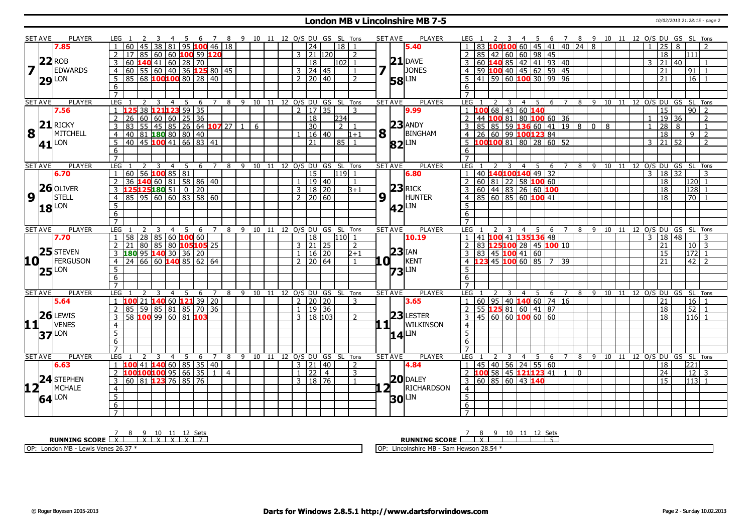#### **London MB v Lincolnshire MB 7-5** 10/02/2013 21:28:15 - page 2

|                         | <b>SET AVE</b> | <b>PLAYER</b>       | LEG 1               |     |    |      |                | 45                          |     |                     |                                                 |   |                |              |   |       |                |                     |          |                            |                | 6 7 8 9 10 11 12 O/S DU GS SL Tons | <b>SET AVE</b> |                                                             |          | <b>PLAYER</b>    | LEG 1               |         |           |        |                                           |             |                              |     |                 |              |                | 4 5 6 7 8 9 10 11 12 O/S DU GS SL Tons |  |                |                         |    |                 |                          |  |
|-------------------------|----------------|---------------------|---------------------|-----|----|------|----------------|-----------------------------|-----|---------------------|-------------------------------------------------|---|----------------|--------------|---|-------|----------------|---------------------|----------|----------------------------|----------------|------------------------------------|----------------|-------------------------------------------------------------|----------|------------------|---------------------|---------|-----------|--------|-------------------------------------------|-------------|------------------------------|-----|-----------------|--------------|----------------|----------------------------------------|--|----------------|-------------------------|----|-----------------|--------------------------|--|
|                         |                | 7.85                |                     |     |    |      |                |                             |     |                     | $38 81 95$ 100 46 18                            |   |                |              |   |       |                | $\overline{24}$     |          |                            | 18 1           |                                    |                |                                                             |          | 5.40             |                     |         |           |        |                                           |             | $60$   45   41   40   24   8 |     |                 |              |                |                                        |  | $\mathbf{1}$   | $\overline{25}$         | 8  |                 |                          |  |
|                         |                |                     |                     | 17  |    | 85 I |                |                             |     |                     | 60   60   100 59   120                          |   |                |              |   |       | 3              |                     | 21   120 |                            |                | 2                                  |                |                                                             |          |                  |                     | 85      | 42        |        | 60 60 98 45                               |             |                              |     |                 |              |                |                                        |  |                | 18                      |    | 111             |                          |  |
|                         | $22$ ROB       |                     |                     |     |    |      |                | 60 <b>140</b> 41 60 28 70   |     |                     |                                                 |   |                |              |   |       |                | 18                  |          |                            | l102l 1        |                                    |                |                                                             |          | $21$ DAVE        |                     | $60\,1$ | <b>40</b> |        | 85 42 41 93 40                            |             |                              |     |                 |              |                |                                        |  | 3              | 21                      | 40 |                 |                          |  |
| $\overline{\mathbf{z}}$ |                | <b>EDWARDS</b>      | $\overline{4}$      |     |    |      |                |                             |     |                     | 60   55   60   40   36 $\overline{125}$ 80   45 |   |                |              |   |       |                | $3 \mid 24 \mid 45$ |          |                            |                | $\overline{1}$                     |                |                                                             |          | JONES            | 4                   |         |           |        | $\overline{59}$ 100 40 45 62 59 45        |             |                              |     |                 |              |                |                                        |  |                | 21                      |    | 91              |                          |  |
|                         |                |                     | 5 <sup>5</sup>      |     |    |      |                |                             |     |                     | $85 68 $ 100100 80 28 40                        |   |                |              |   |       |                | $2 \ 20 \ 40$       |          |                            |                | $\mathcal{L}$                      |                |                                                             |          | LIN              | .5                  |         |           |        | $\boxed{41}$ 59 60 100 30 99 96           |             |                              |     |                 |              |                |                                        |  |                | 21                      |    | 16              |                          |  |
|                         |                | $29$ <sup>LON</sup> |                     |     |    |      |                |                             |     |                     |                                                 |   |                |              |   |       |                |                     |          |                            |                |                                    |                |                                                             | 58       |                  |                     |         |           |        |                                           |             |                              |     |                 |              |                |                                        |  |                |                         |    |                 |                          |  |
|                         |                |                     | 6<br>$\overline{7}$ |     |    |      |                |                             |     |                     |                                                 |   |                |              |   |       |                |                     |          |                            |                |                                    |                |                                                             |          |                  | 6<br>$\overline{7}$ |         |           |        |                                           |             |                              |     |                 |              |                |                                        |  |                |                         |    |                 |                          |  |
|                         | <b>SET AVE</b> | <b>PLAYER</b>       | LEG                 |     |    |      |                | 4                           | 5   | 6                   |                                                 | 8 |                |              |   |       |                |                     |          |                            |                | 9 10 11 12 O/S DU GS SL Tons       | <b>SET AVE</b> |                                                             |          | <b>PLAYER</b>    | LEG                 |         |           | 3      |                                           |             | -5                           | 6   | 7               |              |                | 8 9 10 11 12 O/S DU GS SL Tons         |  |                |                         |    |                 |                          |  |
|                         |                | 7.56                |                     |     |    |      |                | 38 121123 59 35             |     |                     |                                                 |   |                |              |   |       |                | $2 \mid 17 \mid 35$ |          |                            |                | -3                                 |                |                                                             |          | 9.99             | $\overline{1}$      | 100     |           |        | 4<br>68 43 60 140                         |             |                              |     |                 |              |                |                                        |  |                | 15                      |    |                 | $90$   2                 |  |
|                         |                |                     | 2                   | 26  | 60 |      |                | 60   60   25   36           |     |                     |                                                 |   |                |              |   |       |                | 18                  |          |                            | 234            |                                    |                |                                                             |          |                  | <sup>2</sup>        |         |           |        | 44 100 81 80 100 60 36                    |             |                              |     |                 |              |                |                                        |  | $\overline{1}$ | 19                      | 36 |                 | $\overline{\phantom{a}}$ |  |
|                         |                | $21$ RICKY          |                     | 83  |    |      |                |                             |     |                     |                                                 |   | $\overline{1}$ |              |   |       |                | $\overline{30}$     |          |                            | 2 <sup>1</sup> |                                    |                |                                                             |          | $23$ ANDY        |                     |         |           |        |                                           |             |                              |     |                 |              | $\overline{0}$ | 8                                      |  |                |                         |    |                 | -1                       |  |
| 8                       |                |                     | 3                   |     |    |      |                |                             |     |                     | 55 45 85 26 64 107 27                           |   |                |              | 6 |       |                |                     |          |                            |                |                                    |                |                                                             |          |                  | 3                   |         |           |        | $85 \mid 85 \mid 59$ 136 60 41 19 8       |             |                              |     |                 |              |                |                                        |  |                | 28                      | 8  |                 |                          |  |
|                         |                | <b>MITCHELL</b>     | $\overline{4}$      |     |    |      |                | 40 81 <b>180</b> 80 80 40   |     |                     |                                                 |   |                |              |   |       |                | 1   16   40         |          |                            |                | $1 + 1$                            |                | $\mathbf{8}$ <sup><math>\overline{\phantom{1}}</math></sup> |          | BINGHAM          | $\overline{4}$      |         |           |        | 26 60 99 100 123 84                       |             |                              |     |                 |              |                |                                        |  |                | $\overline{18}$         |    | 9               | $\overline{2}$           |  |
|                         | 41             | LON                 | 5                   | 40  |    |      |                |                             |     |                     | 45 100 41 66 83 41                              |   |                |              |   |       |                | $\overline{21}$     |          |                            | 85 1           |                                    |                |                                                             | 82       | LIN              | $\overline{5}$      |         |           |        | $100100$ 81 80 28 60 52                   |             |                              |     |                 |              |                |                                        |  | $\overline{3}$ | $\overline{21}$         | 52 |                 | $\overline{2}$           |  |
|                         |                |                     | 6                   |     |    |      |                |                             |     |                     |                                                 |   |                |              |   |       |                |                     |          |                            |                |                                    |                |                                                             |          |                  | 6                   |         |           |        |                                           |             |                              |     |                 |              |                |                                        |  |                |                         |    |                 |                          |  |
|                         |                |                     | $\overline{7}$      |     |    |      |                |                             |     |                     |                                                 |   |                |              |   |       |                |                     |          |                            |                |                                    |                |                                                             |          |                  |                     |         |           |        |                                           |             |                              |     |                 |              |                |                                        |  |                |                         |    |                 |                          |  |
|                         | <b>SET AVE</b> | <b>PLAYER</b>       | LEG                 |     | 2  |      | $\overline{3}$ | $\overline{4}$              |     |                     | 5 6 7 8 9 10 11 12 O/S DU GS SL Tons            |   |                |              |   |       |                |                     |          |                            |                |                                    | <b>SET AVE</b> |                                                             |          | <b>PLAYER</b>    | LEG <sub>1</sub>    |         |           | 3      | $\overline{4}$                            | $5^{\circ}$ | - 6                          |     |                 |              |                | 7 8 9 10 11 12 0/S DU GS SL Tons       |  |                |                         |    |                 |                          |  |
|                         |                | 6.70                | $\overline{1}$      | 60  |    |      |                | $56$ 100 85 81              |     |                     |                                                 |   |                |              |   |       |                | $\overline{15}$     |          |                            | $119$ 1        |                                    |                |                                                             |          | 6.80             | $\overline{1}$      |         |           |        | 40 140100140 49 32                        |             |                              |     |                 |              |                |                                        |  | $\overline{3}$ | $18 \overline{)32}$     |    |                 |                          |  |
|                         |                |                     |                     | 36  |    |      |                |                             |     |                     | 14060815888640                                  |   |                |              |   |       |                |                     | 19   40  |                            |                | $\overline{1}$                     |                |                                                             |          |                  | $\overline{2}$      |         |           |        | 60   81   22   58   100   60              |             |                              |     |                 |              |                |                                        |  |                | 18                      |    | 120             |                          |  |
|                         |                | $26$ OLIVER         |                     |     |    |      |                | 125125180 51 0 20           |     |                     |                                                 |   |                |              |   |       | $\overline{3}$ |                     | 18 20    |                            |                | $B+1$                              |                |                                                             |          | $23$ RICK        |                     |         |           |        | 60   44   83   26   60   100              |             |                              |     |                 |              |                |                                        |  |                | 18                      |    | 128             |                          |  |
| 9                       |                | <b>STELL</b>        | $\overline{4}$      |     |    |      |                |                             |     |                     | 85 95 60 60 83 58 60                            |   |                |              |   |       |                | $2 \mid 20 \mid 60$ |          |                            |                |                                    | 9              |                                                             |          | <b>HUNTER</b>    | 4                   |         |           |        | 85   60   85   60   <mark>100</mark>   41 |             |                              |     |                 |              |                |                                        |  |                | 18                      |    | 70              |                          |  |
|                         |                | $18$ <sup>LON</sup> | 5 <sub>2</sub>      |     |    |      |                |                             |     |                     |                                                 |   |                |              |   |       |                |                     |          |                            |                |                                    |                |                                                             | 42       | LIN              | -5                  |         |           |        |                                           |             |                              |     |                 |              |                |                                        |  |                |                         |    |                 |                          |  |
|                         |                |                     | 6                   |     |    |      |                |                             |     |                     |                                                 |   |                |              |   |       |                |                     |          |                            |                |                                    |                |                                                             |          |                  | 6                   |         |           |        |                                           |             |                              |     |                 |              |                |                                        |  |                |                         |    |                 |                          |  |
|                         |                |                     | $\overline{7}$      |     |    |      |                |                             |     |                     |                                                 |   |                |              |   |       |                |                     |          |                            |                |                                    |                |                                                             |          |                  | $\overline{7}$      |         |           |        |                                           |             |                              |     |                 |              |                |                                        |  |                |                         |    |                 |                          |  |
|                         | <b>SET AVE</b> | <b>PLAYER</b>       | <b>LEG</b>          |     |    |      |                | $\overline{4}$              | .5  | - 6                 | $7^{\circ}$                                     | 8 |                | 9            |   |       |                |                     |          | 10 11 12 O/S DU GS SL Tons |                |                                    | <b>SET AVE</b> |                                                             |          | <b>PLAYER</b>    | LEG                 |         |           |        | 4                                         |             | .5.                          | -6  | $\overline{7}$  | 8            |                | 9 10                                   |  |                | 11 12 O/S DU GS SL Tons |    |                 |                          |  |
|                         |                | 7.70                | $\overline{1}$      | 58  |    |      |                | 28   85   60   100   60     |     |                     |                                                 |   |                |              |   |       |                | 18                  |          |                            | $110$ 1        |                                    |                |                                                             |          | 10.19            | $\overline{1}$      |         |           |        | 41 100 41 135 136 48                      |             |                              |     |                 |              |                |                                        |  | $\mathbf{3}$   | 18 48                   |    |                 | 3                        |  |
|                         |                |                     | 2                   | 21  | 80 |      |                |                             |     |                     | 85 80 105 105 25                                |   |                |              |   |       |                | $3 \mid 21 \mid 25$ |          |                            |                | $\overline{2}$                     |                |                                                             |          |                  | $\overline{2}$      |         |           |        | 83 125100 28 45 100 10                    |             |                              |     |                 |              |                |                                        |  |                | 21                      |    |                 | $10 \mid 3$              |  |
|                         |                | 25 STEVEN           | $\mathbf{3}$        |     |    |      |                | $180$ 95 $140$ 30 36 20     |     |                     |                                                 |   |                |              |   |       | $\mathbf{1}$   |                     | 16   20  |                            |                | $2+1$                              |                |                                                             | $23$ IAN |                  | 3                   |         |           |        | 83 45 100 41 60                           |             |                              |     |                 |              |                |                                        |  |                | 15                      |    |                 | $172$ 1                  |  |
| 10 L                    |                | FERGUSON            | $\overline{4}$      | 24  |    |      |                |                             |     |                     | 66 60 140 85 62 64                              |   |                |              |   |       |                | $2 \mid 20 \mid 64$ |          |                            |                | $\overline{1}$                     |                | .O I                                                        |          | KENT             | 4                   |         |           | 45 100 |                                           |             | $60$ 85 $\overline{7}$       | 39  |                 |              |                |                                        |  |                | 21                      |    | 42              | $\overline{2}$           |  |
|                         |                | $25$ <sup>LON</sup> | 5 <sup>2</sup>      |     |    |      |                |                             |     |                     |                                                 |   |                |              |   |       |                |                     |          |                            |                |                                    |                |                                                             | 73       | LIN              | $5\overline{)}$     |         |           |        |                                           |             |                              |     |                 |              |                |                                        |  |                |                         |    |                 |                          |  |
|                         |                |                     | 6                   |     |    |      |                |                             |     |                     |                                                 |   |                |              |   |       |                |                     |          |                            |                |                                    |                |                                                             |          |                  | 6                   |         |           |        |                                           |             |                              |     |                 |              |                |                                        |  |                |                         |    |                 |                          |  |
|                         |                |                     | $\overline{7}$      |     |    |      |                |                             |     |                     |                                                 |   |                |              |   |       |                |                     |          |                            |                |                                    |                |                                                             |          |                  | $\overline{7}$      |         |           |        |                                           |             |                              |     |                 |              |                |                                        |  |                |                         |    |                 |                          |  |
|                         | <b>SET AVE</b> | <b>PLAYER</b>       | LEG                 |     |    |      |                | $\overline{4}$              | - 5 | -6                  | 7 8 9 10 11 12 O/S DU GS SL Tons                |   |                |              |   |       |                |                     |          |                            |                |                                    | <b>SET AVE</b> |                                                             |          | <b>PLAYER</b>    | $LEG = 1$           |         |           |        | $\overline{4}$                            | - 5         |                              | - 6 |                 |              |                | 7 8 9 10 11 12 O/S DU GS SL Tons       |  |                |                         |    |                 |                          |  |
|                         |                | 5.64                | $\mathbf{1}$        |     |    |      |                |                             |     |                     | 100 21 140 60 121 39 20                         |   |                |              |   |       |                | $2 \mid 20 \mid 20$ |          |                            |                | 3                                  |                |                                                             |          | 3.65             | $\vert 1 \vert$     |         |           |        | 60   95   40   140   60   74   16         |             |                              |     |                 |              |                |                                        |  |                | 21                      |    |                 | $16 \mid 1$              |  |
|                         |                |                     | 2                   | 85  |    |      |                |                             |     |                     | $59$ 85 81 85 70 36                             |   |                |              |   |       | $\mathbf{1}$   |                     | 19 36    |                            |                |                                    |                |                                                             |          |                  | $\overline{2}$      |         |           |        | 55 125 81 60 41 87                        |             |                              |     |                 |              |                |                                        |  |                | 18                      |    | 52              |                          |  |
|                         |                | $26$ LEWIS          | 3                   |     |    |      |                |                             |     | 58 100 99 60 81 103 |                                                 |   |                |              |   |       | 3              |                     | 18   103 |                            |                | $\mathcal{P}$                      |                |                                                             |          | $23$ LESTER      |                     |         |           |        | $3   45   60   60$ 100 60 60              |             |                              |     |                 |              |                |                                        |  |                | 18                      |    | 116             |                          |  |
| 11                      |                | <b>VENES</b>        | $\overline{4}$      |     |    |      |                |                             |     |                     |                                                 |   |                |              |   |       |                |                     |          |                            |                |                                    |                | . 1                                                         |          | <b>WILKINSON</b> | $\overline{4}$      |         |           |        |                                           |             |                              |     |                 |              |                |                                        |  |                |                         |    |                 |                          |  |
|                         |                |                     | $\overline{5}$      |     |    |      |                |                             |     |                     |                                                 |   |                |              |   |       |                |                     |          |                            |                |                                    |                |                                                             |          | LIN              | $\overline{5}$      |         |           |        |                                           |             |                              |     |                 |              |                |                                        |  |                |                         |    |                 |                          |  |
|                         |                | $37$ <sup>LON</sup> | 6                   |     |    |      |                |                             |     |                     |                                                 |   |                |              |   |       |                |                     |          |                            |                |                                    |                |                                                             | 14       |                  | 6                   |         |           |        |                                           |             |                              |     |                 |              |                |                                        |  |                |                         |    |                 |                          |  |
|                         |                |                     | $\overline{7}$      |     |    |      |                |                             |     |                     |                                                 |   |                |              |   |       |                |                     |          |                            |                |                                    |                |                                                             |          |                  | $\overline{7}$      |         |           |        |                                           |             |                              |     |                 |              |                |                                        |  |                |                         |    |                 |                          |  |
|                         | <b>SET AVE</b> | <b>PLAYER</b>       | LEG                 |     |    |      |                |                             | -5  | 6                   | 7                                               | 8 |                | $\mathsf{q}$ |   | 10 11 |                |                     |          |                            |                | 12 O/S DU GS SL Tons               | <b>SET AVE</b> |                                                             |          | PLAYER           | LEG                 |         |           | 3      | 4                                         |             | -5                           | 6   | $7\overline{ }$ | 8            | 9              | 10 11                                  |  |                | 12 O/S DU GS SL Tons    |    |                 |                          |  |
|                         |                | 6.63                | $\overline{1}$      | 100 |    |      |                |                             |     |                     | 41 140 60 85 35 40                              |   |                |              |   |       |                | $3 \mid 21 \mid 40$ |          |                            |                | 2                                  |                |                                                             |          | 4.84             | $\vert$ 1           |         |           |        | 45 40 56 24 55 60                         |             |                              |     |                 |              |                |                                        |  |                | 18                      |    | 221             |                          |  |
|                         |                |                     | $\overline{2}$      |     |    |      |                |                             |     |                     | 100100100 95 66 35 1 4                          |   |                |              |   |       |                | $1 \mid 22 \mid 4$  |          |                            |                | $\mathbf{3}$                       |                |                                                             |          |                  | $\overline{2}$      | 100     |           |        | 58 45 121 123 41 1                        |             |                              |     |                 | $\mathbf{0}$ |                |                                        |  |                | $\overline{24}$         |    | $\overline{12}$ | 3                        |  |
|                         |                | 24 STEPHEN          |                     |     |    |      |                |                             |     |                     |                                                 |   |                |              |   |       |                |                     |          |                            |                |                                    |                |                                                             |          | $20$ DALEY       |                     |         |           |        |                                           |             |                              |     |                 |              |                |                                        |  |                |                         |    |                 |                          |  |
|                         |                |                     | $\overline{3}$      |     |    |      |                | $60$ 81 <b>123</b> 76 85 76 |     |                     |                                                 |   |                |              |   |       |                | $3 \mid 18 \mid 76$ |          |                            |                | $\overline{1}$                     |                |                                                             |          |                  |                     |         |           |        | 3 60 85 60 43 140                         |             |                              |     |                 |              |                |                                        |  |                | 15                      |    |                 | $113$ 1                  |  |
| 12 <sub>1</sub>         |                | <b>MCHALE</b>       | $\overline{4}$      |     |    |      |                |                             |     |                     |                                                 |   |                |              |   |       |                |                     |          |                            |                |                                    |                | 2 <sub>1</sub>                                              |          | RICHARDSON       | $\overline{4}$      |         |           |        |                                           |             |                              |     |                 |              |                |                                        |  |                |                         |    |                 |                          |  |
|                         |                | $64$ <sup>LON</sup> | $\overline{5}$      |     |    |      |                |                             |     |                     |                                                 |   |                |              |   |       |                |                     |          |                            |                |                                    |                |                                                             | 30       | _IN              | $\overline{5}$      |         |           |        |                                           |             |                              |     |                 |              |                |                                        |  |                |                         |    |                 |                          |  |
|                         |                |                     | 6                   |     |    |      |                |                             |     |                     |                                                 |   |                |              |   |       |                |                     |          |                            |                |                                    |                |                                                             |          |                  | $\overline{6}$      |         |           |        |                                           |             |                              |     |                 |              |                |                                        |  |                |                         |    |                 |                          |  |
|                         |                |                     | $\overline{7}$      |     |    |      |                |                             |     |                     |                                                 |   |                |              |   |       |                |                     |          |                            |                |                                    |                |                                                             |          |                  | $\overline{7}$      |         |           |        |                                           |             |                              |     |                 |              |                |                                        |  |                |                         |    |                 |                          |  |

**RUNNING SCORE** <u>| X | X | X | X | X | Z | Z</u> OP: London MB - Lewis Venes 26.37 \* **RUNNING SCORE**  $\begin{array}{|c|c|c|c|c|c|}\n\hline\n\text{7} & 8 & 9 & 10 & 11 & 12 & \text{Sets} \\
\hline\n\end{array}$ OP: Lincolnshire MB - Sam Hewson 28.54 \*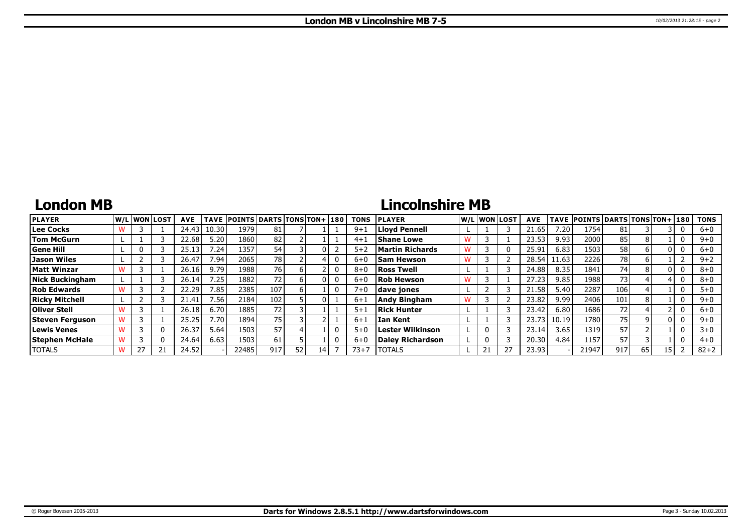# **London MB**

# **Lincolnshire MB**

| <b>PLAYER</b>          |    | lw/Llwonllost | <b>AVE</b> |         | TAVE POINTS DARTS TONS TON+ 180 |     |    |    | <b>TONS</b> | <b>IPLAYER</b>          |   |              | W/L WON LOST | <b>AVE</b> |                 | TAVE POINTS DARTS TONS TON+ 180 |      |    |    | <b>TONS</b> |
|------------------------|----|---------------|------------|---------|---------------------------------|-----|----|----|-------------|-------------------------|---|--------------|--------------|------------|-----------------|---------------------------------|------|----|----|-------------|
| <b>Lee Cocks</b>       |    |               | 24.43      | 10.30   | 1979                            | 81  |    |    | $9 + i$     | Llovd Pennell           |   |              |              | 21.65      | $^{\prime}$ .20 | 1754                            |      |    |    | $6+0$       |
| Tom McGurn             |    |               | 22.68      | 5.20    | 1860                            | 82  |    |    | $4 + 1$     | <b>Shane Lowe</b>       |   |              |              | 23.53      | 9.93            | 2000                            | 85   |    |    | $9 + 0$     |
| Gene Hill              |    |               | 25.13      | 7.24    | 1357                            | 54  |    |    | $5 + 2$     | Martin Richards         |   |              |              | 25.91      | 6.83            | 1503                            | 58 l |    |    | $6+0$       |
| Jason Wiles            |    |               | 26.47      | 7.94    | 2065                            | 78  |    |    | $6 + 0$     | <b>Sam Hewson</b>       |   |              |              | 28.54      | 11.63           | 2226                            | 78   |    |    | $9 + 2$     |
| Matt Winzar            |    |               | 26.16      | 9.79    | 1988                            | 76  |    |    | $8 + 0$     | <b>Ross Twell</b>       |   |              |              | 24.88      | 8.35            | 1841                            | 74   |    |    | $8+0$       |
| <b>Nick Buckingham</b> |    |               | 26.14      | 7.25.   | 1882                            |     |    |    | $6 + 0$     | <b>Rob Hewson</b>       | W |              |              | 27.23      | 9.85            | 1988                            | 73.  |    |    | $8 + 0$     |
| <b>Rob Edwards</b>     |    |               | 22.29      | 7.85    | 2385                            | 107 |    |    | $7 + 0$     | dave jones              |   |              |              | 21.58      | 5.40            | 2287                            | 106  |    |    | $5 + 0$     |
| <b>Ricky Mitchell</b>  |    |               | 21.41      | 7.56    | 2184                            | 102 |    |    | $6 + 1$     | <b>Andy Bingham</b>     |   |              |              | 23.82      | 9.99            | 2406                            | 101  |    |    | $9 + 0$     |
| <b>Oliver Stell</b>    |    |               | 26.18      | 6.70    | 1885                            | 72  |    |    | $5 + 1$     | Rick Hunter             |   |              |              | 23.42      | 6.80            | 1686                            | 72   |    |    | $6 + 0$     |
| Steven Ferguson        |    |               | 25.25      | $'$ .70 | 1894                            | 75  |    |    | $6 + 1$     | <b>Ian Kent</b>         |   |              |              | 23.73      | 10.19           | 1780                            | 75   |    |    | $9 + 0$     |
| Lewis Venes            |    |               | 26.37      | 5.64    | 1503                            | 57  |    |    | $5+0$       | <b>Lester Wilkinson</b> |   | $\mathbf{0}$ |              | 23.14      | 3.65            | 1319                            | 57   |    |    | $3 + 0$     |
| Stephen McHale         |    |               | 24.64      | 6.63    | 1503                            | 61  |    |    | $6 + 0$     | Dalev Richardson        |   | 0            |              | 20.30      | 4.84            | 1157                            | 57   |    |    | $4 + 0$     |
| <b>TOTALS</b>          | 27 | 21            | 24.52      |         | 22485                           | 917 | 52 | 14 | 73+7        | <b>TOTALS</b>           |   | 21           |              | 23.93      |                 | 21947                           | 917  | 65 | 15 | $82 + 2$    |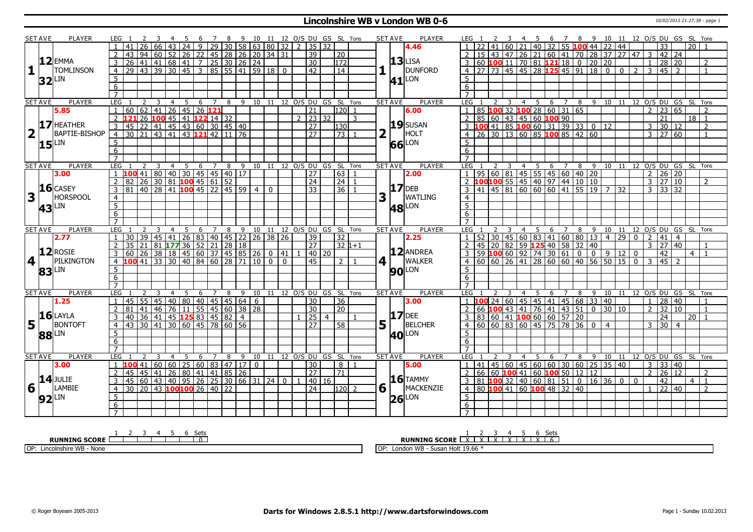#### **Lincolnshire WB v London WB 0-6** 10/02/2013 21:27:38 - page 1

|                         | <b>SET AVE</b>      | <b>PLAYER</b>       | LEG 1            |                                                               |       |                |                |                                                        |                |   | 3 4 5 6 7 8 9 10 11 12 0/S DU GS SL Tons |      |                                    |                 |                  |                |     | SET AVE<br><b>PLAYER</b>        | LEG 1            |     |    |                         |                |     |   |                                                                    |   |                              | 4 5 6 7 8 9 10 11 12 O/S DU GS SL Tons |                 |          |                |                 |                     |                   |                                |
|-------------------------|---------------------|---------------------|------------------|---------------------------------------------------------------|-------|----------------|----------------|--------------------------------------------------------|----------------|---|------------------------------------------|------|------------------------------------|-----------------|------------------|----------------|-----|---------------------------------|------------------|-----|----|-------------------------|----------------|-----|---|--------------------------------------------------------------------|---|------------------------------|----------------------------------------|-----------------|----------|----------------|-----------------|---------------------|-------------------|--------------------------------|
|                         |                     |                     |                  |                                                               |       |                | 24             |                                                        |                |   | $9$   29   30   58   63   80   32        |      | $2 \mid 35 \mid 32$                |                 |                  |                |     | 4.46                            |                  |     |    |                         |                |     |   | 40 32 55 100 44 22 44                                              |   |                              |                                        |                 |          |                |                 |                     | $\overline{20}$ 1 |                                |
|                         |                     |                     |                  |                                                               |       |                |                | 94 60 52 26 22 45 28 26 20 34 31                       |                |   |                                          |      |                                    | 39              | 20               |                |     |                                 |                  | 15. | 43 |                         |                |     |   | 47 26 21 60 41 70 28 37 27 47                                      |   |                              |                                        |                 |          |                | 42              | 24                  |                   |                                |
|                         |                     | $12$ EMMA           | 3                | 26                                                            |       |                |                | $141$ 41 68 41 7 25 30 26 24                           |                |   |                                          |      |                                    | 30              | $\overline{172}$ |                |     | $13$ LISA                       |                  |     |    |                         |                |     |   | $\overline{3}$ 60 100 11 70 81 121 18 0                            |   |                              | 20 20                                  |                 |          |                | 28              | l 20                |                   | $\overline{2}$                 |
| 1                       |                     | <b>TOMLINSON</b>    | $\overline{4}$   | $\overline{29}$ 43 39 30 45 3 85 55 41 59 18 0                |       |                |                |                                                        |                |   |                                          |      |                                    | 42              | $\overline{14}$  |                |     | <b>DUNFORD</b>                  |                  |     |    |                         |                |     |   | 4 27 73 45 45 28 125 45 91 18 0 0 2 3                              |   |                              |                                        |                 |          |                | $145$ 2         |                     |                   |                                |
|                         |                     |                     |                  |                                                               |       |                |                |                                                        |                |   |                                          |      |                                    |                 |                  |                |     |                                 |                  |     |    |                         |                |     |   |                                                                    |   |                              |                                        |                 |          |                |                 |                     |                   |                                |
|                         |                     | $32$ LIN            | 5                |                                                               |       |                |                |                                                        |                |   |                                          |      |                                    |                 |                  |                |     | $41$ <sup>LON</sup>             | 5 <sup>5</sup>   |     |    |                         |                |     |   |                                                                    |   |                              |                                        |                 |          |                |                 |                     |                   |                                |
|                         |                     |                     | $\overline{6}$   |                                                               |       |                |                |                                                        |                |   |                                          |      |                                    |                 |                  |                |     |                                 | 6                |     |    |                         |                |     |   |                                                                    |   |                              |                                        |                 |          |                |                 |                     |                   |                                |
|                         |                     |                     | $\overline{7}$   |                                                               |       |                |                |                                                        |                |   |                                          |      |                                    |                 |                  |                |     |                                 | $\overline{7}$   |     |    |                         |                |     |   |                                                                    |   |                              |                                        |                 |          |                |                 |                     |                   |                                |
|                         | <b>SET AVE</b>      | <b>PLAYER</b>       | LEG              | $\overline{2}$                                                | 3     | $\overline{4}$ | 5 <sup>5</sup> |                                                        |                |   |                                          |      | 6 7 8 9 10 11 12 0/S DU GS SL Tons |                 |                  |                |     | <b>PLAYER</b><br><b>SET AVE</b> | <b>LEG</b>       |     | 2  | $\overline{\mathbf{3}}$ |                |     |   | 4 5 6 7 8 9 10 11 12 O/S DU GS SL Tons                             |   |                              |                                        |                 |          |                |                 |                     |                   |                                |
|                         |                     | 5.85                | $\mathbf{1}$     | 60   62   41   26   45   26   121                             |       |                |                |                                                        |                |   |                                          |      |                                    | $\overline{21}$ | $120$ 1          |                |     | 6.00                            | $\overline{1}$   |     |    |                         |                |     |   | 85 100 32 100 28 60 31 65                                          |   |                              |                                        |                 |          | $\overline{2}$ |                 | 23 65               |                   | $\overline{\phantom{a}}$       |
|                         |                     |                     | $\overline{2}$   |                                                               |       |                |                |                                                        |                |   |                                          |      | $2 \mid 23 \mid 32$                |                 |                  | 3              |     |                                 |                  |     |    |                         |                |     |   | 2   85   60   43   45   60   100   90                              |   |                              |                                        |                 |          |                | 21              |                     | $18$   1          |                                |
|                         |                     | $17$ HEATHER        | 3                |                                                               |       |                |                |                                                        |                |   |                                          |      |                                    | $\overline{27}$ | 130              |                |     | 19 SUSAN                        |                  |     |    |                         |                |     |   | 3 <b>100</b> 41 85 <b>100</b> 60 31 39 33 0 12                     |   |                              |                                        |                 |          | $\overline{3}$ |                 | 30 12               |                   | 2                              |
| $\overline{\mathbf{2}}$ |                     | BAPTIE-BISHOP       | $\overline{4}$   | 30 21 43 41 43 121 42 11 76                                   |       |                |                |                                                        |                |   |                                          |      |                                    | $\overline{27}$ | $\overline{73}$  |                |     | HOLT                            |                  |     |    |                         |                |     |   | 4 26 30 13 60 85 100 85 42 60                                      |   |                              |                                        |                 |          |                |                 | $3 \mid 27 \mid 60$ |                   |                                |
|                         |                     | $15$ <sup>LIN</sup> | $\overline{5}$   |                                                               |       |                |                |                                                        |                |   |                                          |      |                                    |                 |                  |                |     | 66 LON                          | 5                |     |    |                         |                |     |   |                                                                    |   |                              |                                        |                 |          |                |                 |                     |                   |                                |
|                         |                     |                     | 6                |                                                               |       |                |                |                                                        |                |   |                                          |      |                                    |                 |                  |                |     |                                 | 6                |     |    |                         |                |     |   |                                                                    |   |                              |                                        |                 |          |                |                 |                     |                   |                                |
|                         |                     |                     | $\overline{7}$   |                                                               |       |                |                |                                                        |                |   |                                          |      |                                    |                 |                  |                |     |                                 | $\overline{7}$   |     |    |                         |                |     |   |                                                                    |   |                              |                                        |                 |          |                |                 |                     |                   |                                |
|                         | <b>SET AVE</b>      | <b>PLAYER</b>       | LEG              |                                                               | 3     | $\overline{4}$ | $\overline{5}$ | 6                                                      | $\overline{7}$ | 8 |                                          |      | 9 10 11 12 O/S DU GS SL Tons       |                 |                  |                |     | <b>SET AVE</b><br><b>PLAYER</b> | LEG              |     |    |                         | $\overline{4}$ | 5   |   | 6 7                                                                |   |                              |                                        |                 |          |                |                 |                     |                   | 8 9 10 11 12 0/S DU GS SL Tons |
|                         |                     | 3.00                |                  |                                                               |       |                |                |                                                        |                |   |                                          |      |                                    | $\overline{27}$ | 63               |                |     | 2.00                            |                  |     |    |                         |                |     |   |                                                                    |   |                              |                                        |                 |          | $\overline{2}$ |                 | $26$ 20             |                   |                                |
|                         |                     |                     | $\overline{2}$   | 100 41 80 40 30 45 45 40 17<br>82 26 30 81 100 45 61 52<br>82 |       |                |                |                                                        |                |   |                                          |      |                                    | 24              | 24               |                |     |                                 |                  |     |    |                         |                |     |   |                                                                    |   |                              |                                        |                 |          | 3              |                 | 27 10               |                   | $\overline{\phantom{a}}$       |
|                         |                     | $16$ CASEY          | $\overline{3}$   | 81 40 28 41 <b>100</b> 45 22 45 59 4 0                        |       |                |                |                                                        |                |   |                                          |      |                                    | 33              | $36$ 1           |                |     | $17$ DEB                        |                  |     |    |                         |                |     |   |                                                                    |   |                              |                                        |                 |          |                |                 | $3 \mid 33 \mid 32$ |                   |                                |
| 3                       |                     | HORSPOOL            | $\overline{4}$   |                                                               |       |                |                |                                                        |                |   |                                          |      |                                    |                 |                  |                | 3   | <b>WATLING</b>                  | $\overline{4}$   |     |    |                         |                |     |   |                                                                    |   |                              |                                        |                 |          |                |                 |                     |                   |                                |
|                         |                     |                     | $\overline{5}$   |                                                               |       |                |                |                                                        |                |   |                                          |      |                                    |                 |                  |                |     |                                 | $\overline{5}$   |     |    |                         |                |     |   |                                                                    |   |                              |                                        |                 |          |                |                 |                     |                   |                                |
|                         |                     | 43                  | $\overline{6}$   |                                                               |       |                |                |                                                        |                |   |                                          |      |                                    |                 |                  |                |     | <b>48</b> LON                   | 6                |     |    |                         |                |     |   |                                                                    |   |                              |                                        |                 |          |                |                 |                     |                   |                                |
|                         |                     |                     | $\overline{7}$   |                                                               |       |                |                |                                                        |                |   |                                          |      |                                    |                 |                  |                |     |                                 |                  |     |    |                         |                |     |   |                                                                    |   |                              |                                        |                 |          |                |                 |                     |                   |                                |
|                         | <b>SET AVE</b>      | <b>PLAYER</b>       | LEG <sub>1</sub> |                                                               |       | $\overline{4}$ | 5              |                                                        |                |   |                                          |      | 6 7 8 9 10 11 12 O/S DU GS SL Tons |                 |                  |                |     | <b>SET AVE</b><br><b>PLAYER</b> | LEG              |     |    |                         |                | 4 5 |   | 6 7 8 9 10 11 12 O/S DU GS SL Tons                                 |   |                              |                                        |                 |          |                |                 |                     |                   |                                |
|                         |                     |                     |                  |                                                               |       |                |                |                                                        |                |   |                                          |      |                                    |                 |                  |                |     |                                 |                  |     |    |                         |                |     |   |                                                                    |   |                              |                                        |                 |          |                |                 | $\overline{4}$      |                   |                                |
|                         |                     |                     |                  |                                                               |       |                |                |                                                        |                |   |                                          |      |                                    |                 |                  |                |     |                                 |                  |     |    |                         |                |     |   |                                                                    |   |                              |                                        |                 |          |                |                 |                     |                   |                                |
|                         |                     | 2.77                |                  | 30<br>l 39 l                                                  |       | 45   41        |                | 26 83 40 45 22 26 38 26                                |                |   |                                          |      |                                    | 39              | 32               |                |     | 2.25                            |                  |     |    |                         |                |     |   |                                                                    |   | $52$ 30 45 60 83 41 60 80 13 | $\overline{4}$                         | $\overline{29}$ | $\Omega$ | $\overline{2}$ | 41              |                     |                   |                                |
|                         |                     |                     |                  | 35                                                            |       |                |                |                                                        |                |   |                                          |      |                                    | 27              | $32 1+1$         |                |     |                                 | 2                |     |    |                         |                |     |   | $\vert$ 45 $\vert$ 20 $\vert$ 82 $\vert$ 59 <b>125</b> 40 58 32 40 |   |                              |                                        |                 |          |                |                 | $3 \mid 27 \mid 40$ |                   |                                |
|                         |                     | $12$ ROSIE          | 3                | 60                                                            |       |                |                |                                                        |                |   |                                          |      |                                    | 40 20           |                  |                |     | 12 ANDREA                       |                  |     |    |                         |                |     |   |                                                                    |   |                              |                                        |                 |          |                | 42              |                     | $\overline{4}$    |                                |
| $\vert$ 4               | l I                 | PILKINGTON          |                  | 4 100 41 33 30 40 84 60 28 71 10                              |       |                |                |                                                        |                |   |                                          | n In |                                    | 45              | 2 <sub>1</sub>   |                |     | $4$   <br><b>WALKER</b>         |                  |     |    |                         |                |     |   | 4 60 60 26 41 28 60 60 40 56 50 15 0 3 45 2                        |   |                              |                                        |                 |          |                |                 |                     |                   |                                |
|                         |                     |                     | 5 <sup>5</sup>   |                                                               |       |                |                |                                                        |                |   |                                          |      |                                    |                 |                  |                |     | <b>90</b> LON                   | 5 <sup>5</sup>   |     |    |                         |                |     |   |                                                                    |   |                              |                                        |                 |          |                |                 |                     |                   |                                |
|                         |                     | $83$ LIN            | 6                |                                                               |       |                |                |                                                        |                |   |                                          |      |                                    |                 |                  |                |     |                                 | 6                |     |    |                         |                |     |   |                                                                    |   |                              |                                        |                 |          |                |                 |                     |                   |                                |
|                         |                     |                     | $\overline{7}$   |                                                               |       |                |                |                                                        |                |   |                                          |      |                                    |                 |                  |                |     |                                 | $\overline{7}$   |     |    |                         |                |     |   |                                                                    |   |                              |                                        |                 |          |                |                 |                     |                   |                                |
|                         | <b>SET AVE</b>      | PLAYER              | LEG              |                                                               | 3     | $\overline{4}$ | -5             | 6                                                      | $\overline{7}$ | 8 |                                          |      | 9 10 11 12 O/S DU GS SL Tons       |                 |                  |                |     | PLAYER<br><b>SET AVE</b>        | LEG              |     |    |                         | $\overline{4}$ | - 5 | 6 | $\overline{7}$                                                     |   |                              |                                        |                 |          |                |                 |                     |                   | 8 9 10 11 12 0/S DU GS SL Tons |
|                         |                     | 1.25                |                  | 45                                                            |       |                |                | 55 45 40 80 40 45 45 64 6                              |                |   |                                          |      |                                    | $\overline{30}$ | 36               |                |     | 3.00                            |                  |     |    |                         |                |     |   | $1 \overline{100}$ 24 60 45 45 41 45 68 33 40                      |   |                              |                                        |                 |          | $\overline{1}$ | $ 28\rangle$    | $ 40\rangle$        |                   |                                |
|                         |                     |                     | $\overline{2}$   | 81   41   46   76   11   55   45   60   38   28               |       |                |                |                                                        |                |   |                                          |      |                                    | $\overline{30}$ | $\overline{20}$  |                |     |                                 |                  |     |    |                         |                |     |   | $2   66   100   43   41   76   41   43   51   0   30   10$         |   |                              |                                        |                 |          | $\overline{2}$ |                 | 32 10               |                   | $\overline{1}$                 |
|                         |                     | $16$ LAYLA          | 3                | 40                                                            |       |                |                | $ 36 41 45$ <b>125</b> 83 45 82                        |                |   | $\overline{4}$                           |      |                                    | 25 4            |                  |                |     | $17$ DEE                        |                  |     |    |                         |                |     |   | $3   83   60   41   100   60   60   57   20$                       |   |                              |                                        |                 |          |                | $\overline{24}$ |                     | 20 <sup>1</sup>   |                                |
| 5                       | H.                  | BONTOFT             | $\overline{4}$   | 43                                                            | 30 41 | 30             |                | 60 45 78 60 56                                         |                |   |                                          |      |                                    | 27              | $\overline{58}$  |                | 5   | BELCHER                         | $\overline{4}$   |     |    |                         |                |     |   | 60   60   83   60   45   75   78   36   0                          |   |                              | $\overline{4}$                         |                 |          | 3              |                 | $30$   4            |                   |                                |
|                         |                     |                     | 5                |                                                               |       |                |                |                                                        |                |   |                                          |      |                                    |                 |                  |                |     |                                 | $5^{\circ}$      |     |    |                         |                |     |   |                                                                    |   |                              |                                        |                 |          |                |                 |                     |                   |                                |
|                         | 88LIN               |                     | 6                |                                                               |       |                |                |                                                        |                |   |                                          |      |                                    |                 |                  |                |     | <b>40</b> <sup>LON</sup>        | 6                |     |    |                         |                |     |   |                                                                    |   |                              |                                        |                 |          |                |                 |                     |                   |                                |
|                         |                     |                     | $\overline{7}$   |                                                               |       |                |                |                                                        |                |   |                                          |      |                                    |                 |                  |                |     |                                 | $\overline{7}$   |     |    |                         |                |     |   |                                                                    |   |                              |                                        |                 |          |                |                 |                     |                   |                                |
|                         | <b>SET AVE</b>      | PLAYER              | LEG              |                                                               |       |                | .5             | 6                                                      | $7^{\circ}$    | 8 |                                          |      | 9 10 11 12 0/S DU GS SL Tons       |                 |                  |                |     | <b>SET AVE</b><br><b>PLAYER</b> | LEG              |     |    |                         |                | .5. | 6 | $\overline{7}$                                                     | 8 |                              | 9 10                                   |                 |          |                |                 |                     |                   | 11 12 O/S DU GS SL Tons        |
|                         |                     | 3.00                | $\mathbf{1}$     | 100                                                           | 41 60 | 60             |                | $\vert 25 \vert 60 \vert 83 \vert 47 \vert 17 \vert 0$ |                |   |                                          |      |                                    | 30              | 8 <sup>1</sup>   | $\overline{1}$ |     | 5.00                            | $\overline{1}$   |     |    |                         |                |     |   | $141$   45   60   45   60   60   30   60   25   35   40            |   |                              |                                        |                 |          |                |                 | $3 \mid 33 \mid 40$ |                   |                                |
|                         |                     |                     | $\overline{2}$   | 45                                                            | 45 41 |                |                | 26 80 41 41 85 26                                      |                |   |                                          |      |                                    | $\overline{27}$ | $\overline{71}$  |                |     |                                 |                  |     |    |                         |                |     |   | $2   66   60   100   41   60   100   50   12   12$                 |   |                              |                                        |                 |          | 2              | $\overline{26}$ | $\overline{12}$     |                   | 2                              |
|                         |                     | $14$ JULIE          | 3                |                                                               |       |                |                |                                                        |                |   |                                          |      |                                    | 40 16           |                  |                |     | $16$ TAMMY                      |                  |     |    |                         |                |     |   | $3   81   100   32   40   60   81   51   0   16   36   0   0$      |   |                              |                                        |                 |          |                | 42              |                     | $\overline{4}$    | $\overline{1}$                 |
|                         |                     | LAMBIE              | $\overline{4}$   | 45 60 43 40 95 26 25 30 66 31 24 0                            |       |                |                |                                                        |                |   |                                          |      |                                    | $\overline{24}$ | $120$ 2          |                |     | MACKENZIE                       |                  |     |    |                         |                |     |   |                                                                    |   |                              |                                        |                 |          | $\overline{1}$ |                 | $ 40\rangle$        |                   | 2                              |
| 6                       |                     |                     |                  | 30 20 43 100 100 26 40 22                                     |       |                |                |                                                        |                |   |                                          |      |                                    |                 |                  |                | 6 1 |                                 |                  |     |    |                         |                |     |   | 4 80 100 41 60 100 48 32 40                                        |   |                              |                                        |                 |          |                | $\overline{22}$ |                     |                   |                                |
|                         | $92$ <sup>LIN</sup> |                     | 5                |                                                               |       |                |                |                                                        |                |   |                                          |      |                                    |                 |                  |                |     | LON<br>26                       | 5                |     |    |                         |                |     |   |                                                                    |   |                              |                                        |                 |          |                |                 |                     |                   |                                |
|                         |                     |                     | 6<br>$7^{\circ}$ |                                                               |       |                |                |                                                        |                |   |                                          |      |                                    |                 |                  |                |     |                                 | 6<br>$7^{\circ}$ |     |    |                         |                |     |   |                                                                    |   |                              |                                        |                 |          |                |                 |                     |                   |                                |

**RUNNING SCORE** <u>1 2 3 4 5 6 Sets</u><br>
2 3 4 5 6 Sets OP: Lincolnshire WB - None **RUNNING SCORE** 
<u>
LASS 
3 
4 
5 
6 
Sets</u><br> **RUNNING SCORE** 
<u>LASS 
X 
1 
X 
1 
X 
1 
X 
1 
X 
1 
X 
1 
X 
1 
X 
1 
X 
1 
X 
1 
X 
1 
X 
1 
X 
1 
X 
1 
X 
1 
X 
1 
X 
1 
X 
1 
X 
1 
X 
1 
X 
1 
X 
1 
X 
1 
X 
1 
X 
1 
X 
1</u> OP: London WB - Susan Holt 19.66 \*